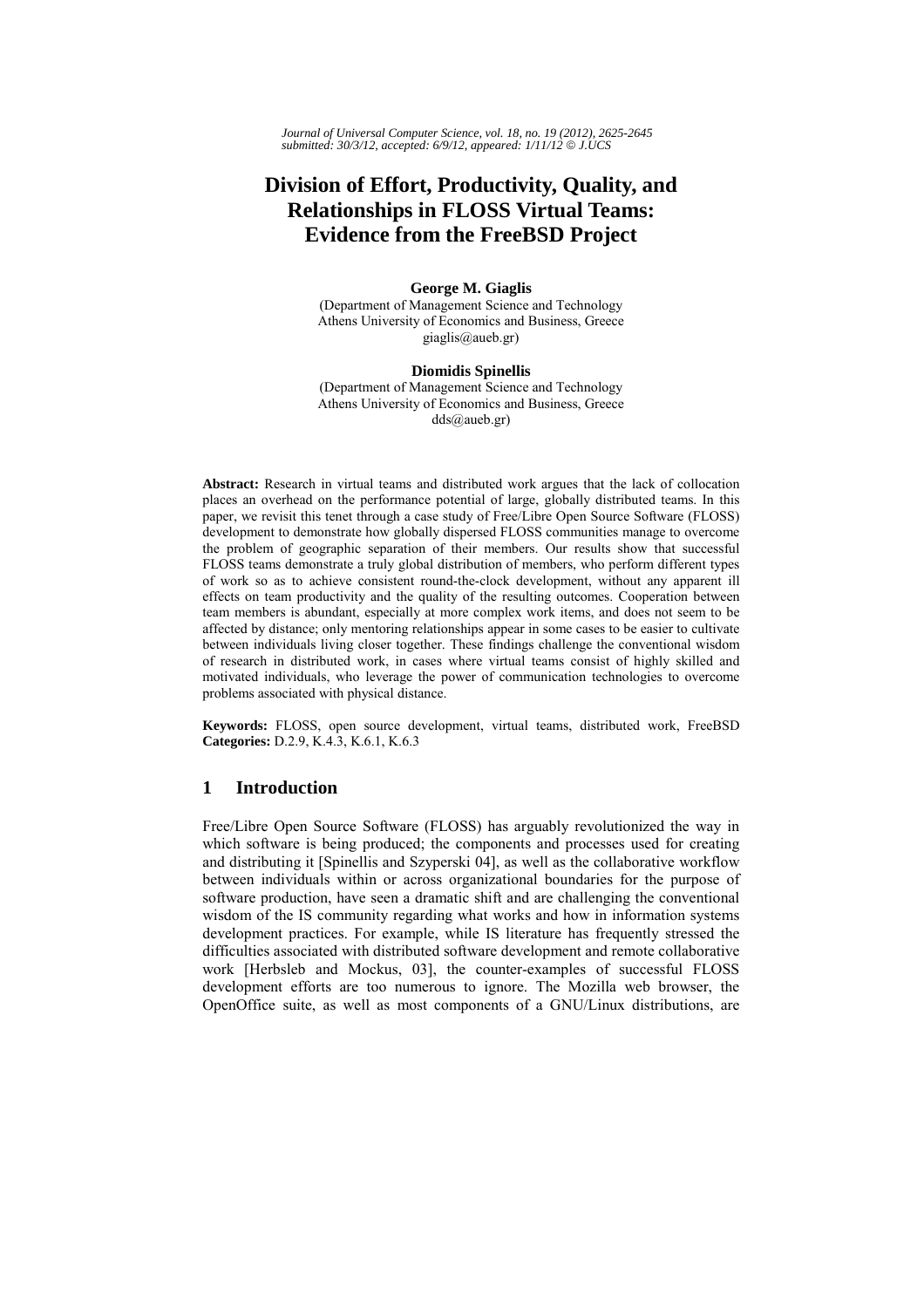*Journal of Universal Computer Science, vol. 18, no. 19 (2012), 2625-2645 submitted: 30/3/12, accepted: 6/9/12, appeared: 1/11/12* © *J.UCS*

# **Division of Effort, Productivity, Quality, and Relationships in FLOSS Virtual Teams: Evidence from the FreeBSD Project**

### **George M. Giaglis**

(Department of Management Science and Technology Athens University of Economics and Business, Greece giaglis@aueb.gr)

#### **Diomidis Spinellis**

(Department of Management Science and Technology Athens University of Economics and Business, Greece dds@aueb.gr)

**Abstract:** Research in virtual teams and distributed work argues that the lack of collocation places an overhead on the performance potential of large, globally distributed teams. In this paper, we revisit this tenet through a case study of Free/Libre Open Source Software (FLOSS) development to demonstrate how globally dispersed FLOSS communities manage to overcome the problem of geographic separation of their members. Our results show that successful FLOSS teams demonstrate a truly global distribution of members, who perform different types of work so as to achieve consistent round-the-clock development, without any apparent ill effects on team productivity and the quality of the resulting outcomes. Cooperation between team members is abundant, especially at more complex work items, and does not seem to be affected by distance; only mentoring relationships appear in some cases to be easier to cultivate between individuals living closer together. These findings challenge the conventional wisdom of research in distributed work, in cases where virtual teams consist of highly skilled and motivated individuals, who leverage the power of communication technologies to overcome problems associated with physical distance.

**Keywords:** FLOSS, open source development, virtual teams, distributed work, FreeBSD **Categories:** D.2.9, K.4.3, K.6.1, K.6.3

# **1 Introduction**

Free/Libre Open Source Software (FLOSS) has arguably revolutionized the way in which software is being produced; the components and processes used for creating and distributing it [Spinellis and Szyperski 04], as well as the collaborative workflow between individuals within or across organizational boundaries for the purpose of software production, have seen a dramatic shift and are challenging the conventional wisdom of the IS community regarding what works and how in information systems development practices. For example, while IS literature has frequently stressed the difficulties associated with distributed software development and remote collaborative work [Herbsleb and Mockus, 03], the counter-examples of successful FLOSS development efforts are too numerous to ignore. The Mozilla web browser, the OpenOffice suite, as well as most components of a GNU/Linux distributions, are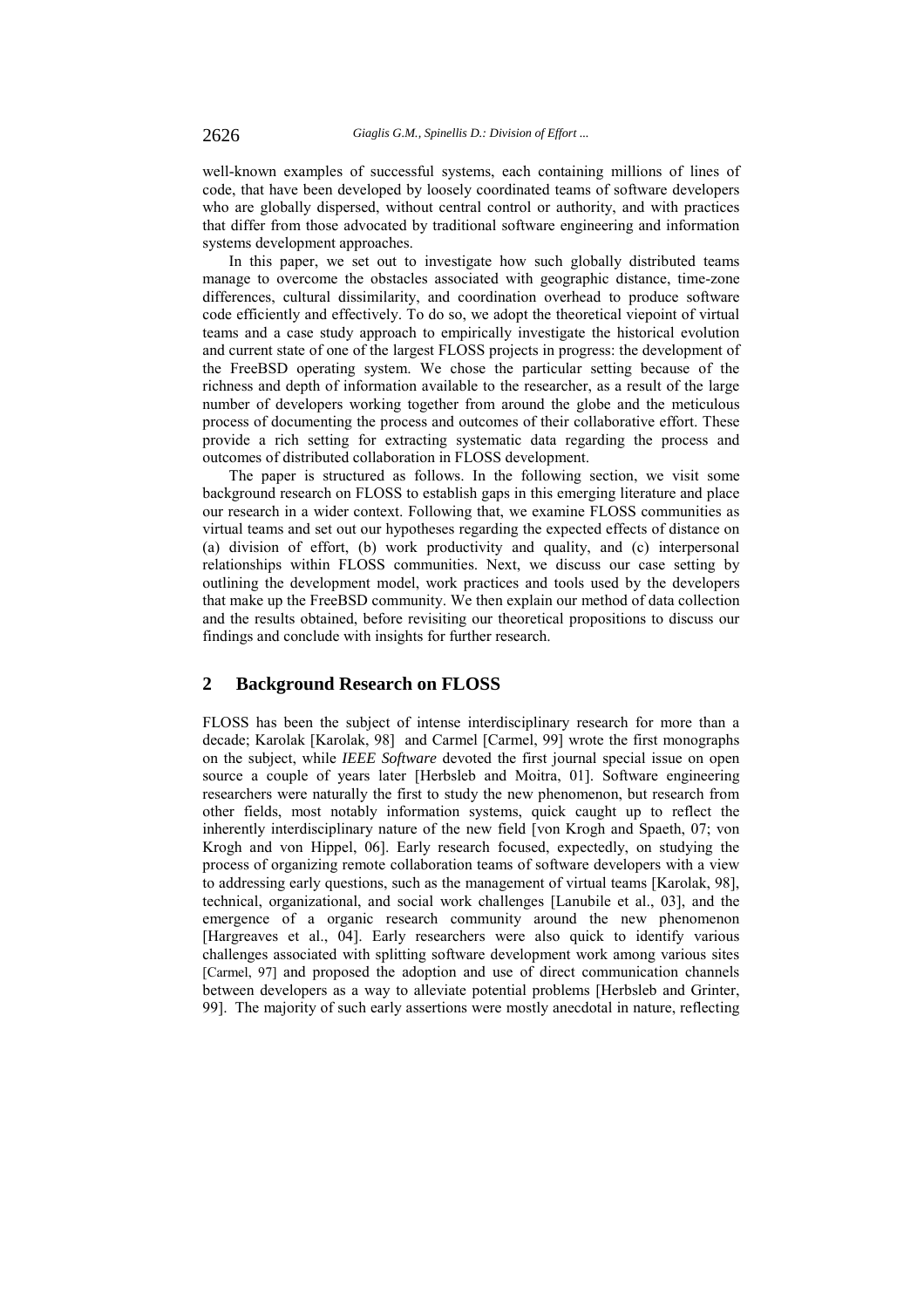well-known examples of successful systems, each containing millions of lines of code, that have been developed by loosely coordinated teams of software developers who are globally dispersed, without central control or authority, and with practices that differ from those advocated by traditional software engineering and information systems development approaches.

In this paper, we set out to investigate how such globally distributed teams manage to overcome the obstacles associated with geographic distance, time-zone differences, cultural dissimilarity, and coordination overhead to produce software code efficiently and effectively. To do so, we adopt the theoretical viepoint of virtual teams and a case study approach to empirically investigate the historical evolution and current state of one of the largest FLOSS projects in progress: the development of the FreeBSD operating system. We chose the particular setting because of the richness and depth of information available to the researcher, as a result of the large number of developers working together from around the globe and the meticulous process of documenting the process and outcomes of their collaborative effort. These provide a rich setting for extracting systematic data regarding the process and outcomes of distributed collaboration in FLOSS development.

The paper is structured as follows. In the following section, we visit some background research on FLOSS to establish gaps in this emerging literature and place our research in a wider context. Following that, we examine FLOSS communities as virtual teams and set out our hypotheses regarding the expected effects of distance on (a) division of effort, (b) work productivity and quality, and (c) interpersonal relationships within FLOSS communities. Next, we discuss our case setting by outlining the development model, work practices and tools used by the developers that make up the FreeBSD community. We then explain our method of data collection and the results obtained, before revisiting our theoretical propositions to discuss our findings and conclude with insights for further research.

# **2 Background Research on FLOSS**

FLOSS has been the subject of intense interdisciplinary research for more than a decade; Karolak [Karolak, 98] and Carmel [Carmel, 99] wrote the first monographs on the subject, while *IEEE Software* devoted the first journal special issue on open source a couple of years later [Herbsleb and Moitra, 01]. Software engineering researchers were naturally the first to study the new phenomenon, but research from other fields, most notably information systems, quick caught up to reflect the inherently interdisciplinary nature of the new field [von Krogh and Spaeth, 07; von Krogh and von Hippel, 06]. Early research focused, expectedly, on studying the process of organizing remote collaboration teams of software developers with a view to addressing early questions, such as the management of virtual teams [Karolak, 98], technical, organizational, and social work challenges [Lanubile et al., 03], and the emergence of a organic research community around the new phenomenon [Hargreaves et al., 04]. Early researchers were also quick to identify various challenges associated with splitting software development work among various sites [Carmel, 97] and proposed the adoption and use of direct communication channels between developers as a way to alleviate potential problems [Herbsleb and Grinter, 99]. The majority of such early assertions were mostly anecdotal in nature, reflecting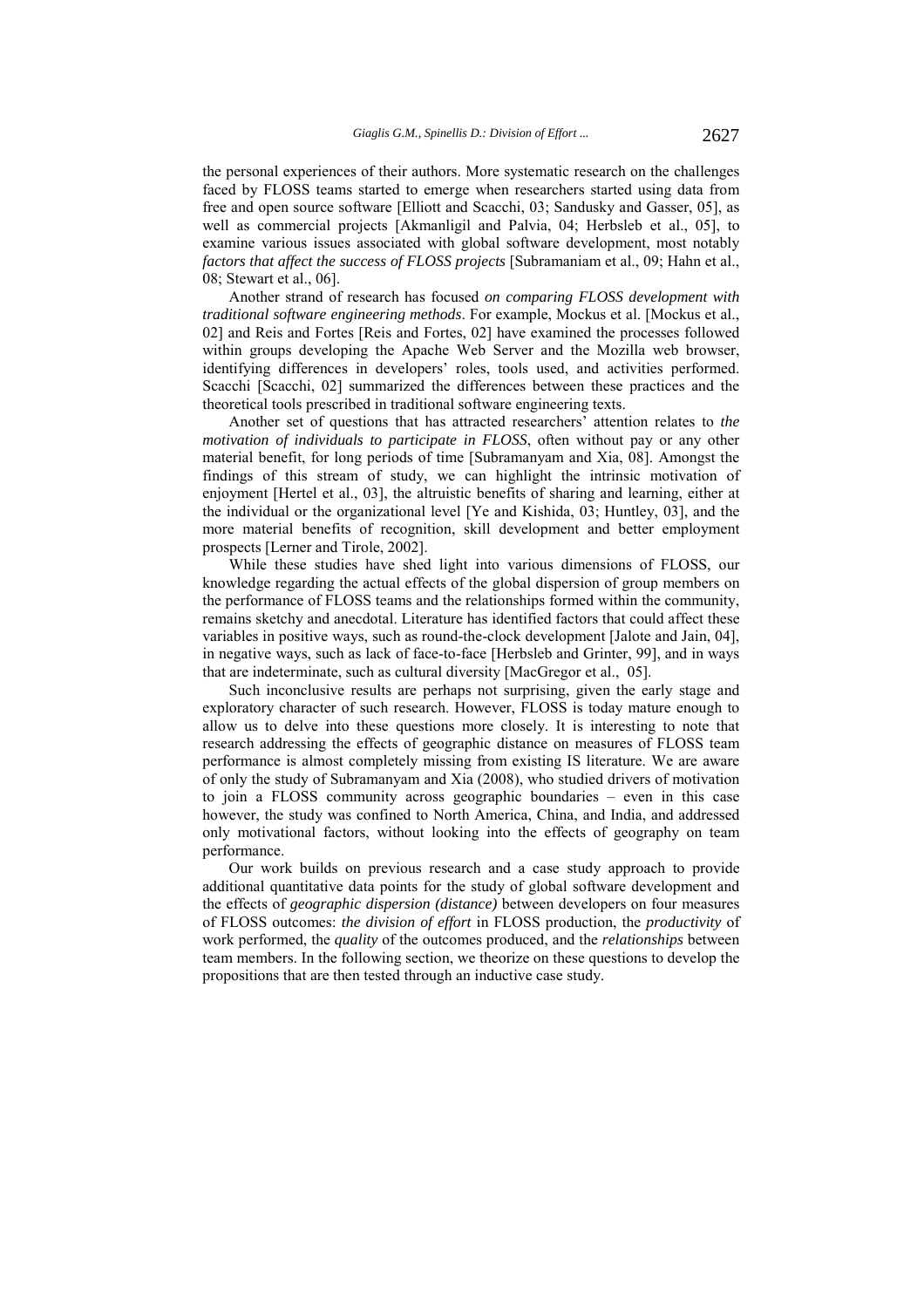the personal experiences of their authors. More systematic research on the challenges faced by FLOSS teams started to emerge when researchers started using data from free and open source software [Elliott and Scacchi, 03; Sandusky and Gasser, 05], as well as commercial projects [Akmanligil and Palvia, 04; Herbsleb et al., 05], to examine various issues associated with global software development, most notably *factors that affect the success of FLOSS projects* [Subramaniam et al., 09; Hahn et al., 08; Stewart et al., 06].

Another strand of research has focused *on comparing FLOSS development with traditional software engineering methods*. For example, Mockus et al. [Mockus et al., 02] and Reis and Fortes [Reis and Fortes, 02] have examined the processes followed within groups developing the Apache Web Server and the Mozilla web browser, identifying differences in developers' roles, tools used, and activities performed. Scacchi [Scacchi, 02] summarized the differences between these practices and the theoretical tools prescribed in traditional software engineering texts.

Another set of questions that has attracted researchers' attention relates to *the motivation of individuals to participate in FLOSS*, often without pay or any other material benefit, for long periods of time [Subramanyam and Xia, 08]. Amongst the findings of this stream of study, we can highlight the intrinsic motivation of enjoyment [Hertel et al., 03], the altruistic benefits of sharing and learning, either at the individual or the organizational level [Ye and Kishida, 03; Huntley, 03], and the more material benefits of recognition, skill development and better employment prospects [Lerner and Tirole, 2002].

While these studies have shed light into various dimensions of FLOSS, our knowledge regarding the actual effects of the global dispersion of group members on the performance of FLOSS teams and the relationships formed within the community, remains sketchy and anecdotal. Literature has identified factors that could affect these variables in positive ways, such as round-the-clock development [Jalote and Jain, 04], in negative ways, such as lack of face-to-face [Herbsleb and Grinter, 99], and in ways that are indeterminate, such as cultural diversity [MacGregor et al., 05].

Such inconclusive results are perhaps not surprising, given the early stage and exploratory character of such research. However, FLOSS is today mature enough to allow us to delve into these questions more closely. It is interesting to note that research addressing the effects of geographic distance on measures of FLOSS team performance is almost completely missing from existing IS literature. We are aware of only the study of Subramanyam and Xia (2008), who studied drivers of motivation to join a FLOSS community across geographic boundaries – even in this case however, the study was confined to North America, China, and India, and addressed only motivational factors, without looking into the effects of geography on team performance.

Our work builds on previous research and a case study approach to provide additional quantitative data points for the study of global software development and the effects of *geographic dispersion (distance)* between developers on four measures of FLOSS outcomes: *the division of effort* in FLOSS production, the *productivity* of work performed, the *quality* of the outcomes produced, and the *relationships* between team members. In the following section, we theorize on these questions to develop the propositions that are then tested through an inductive case study.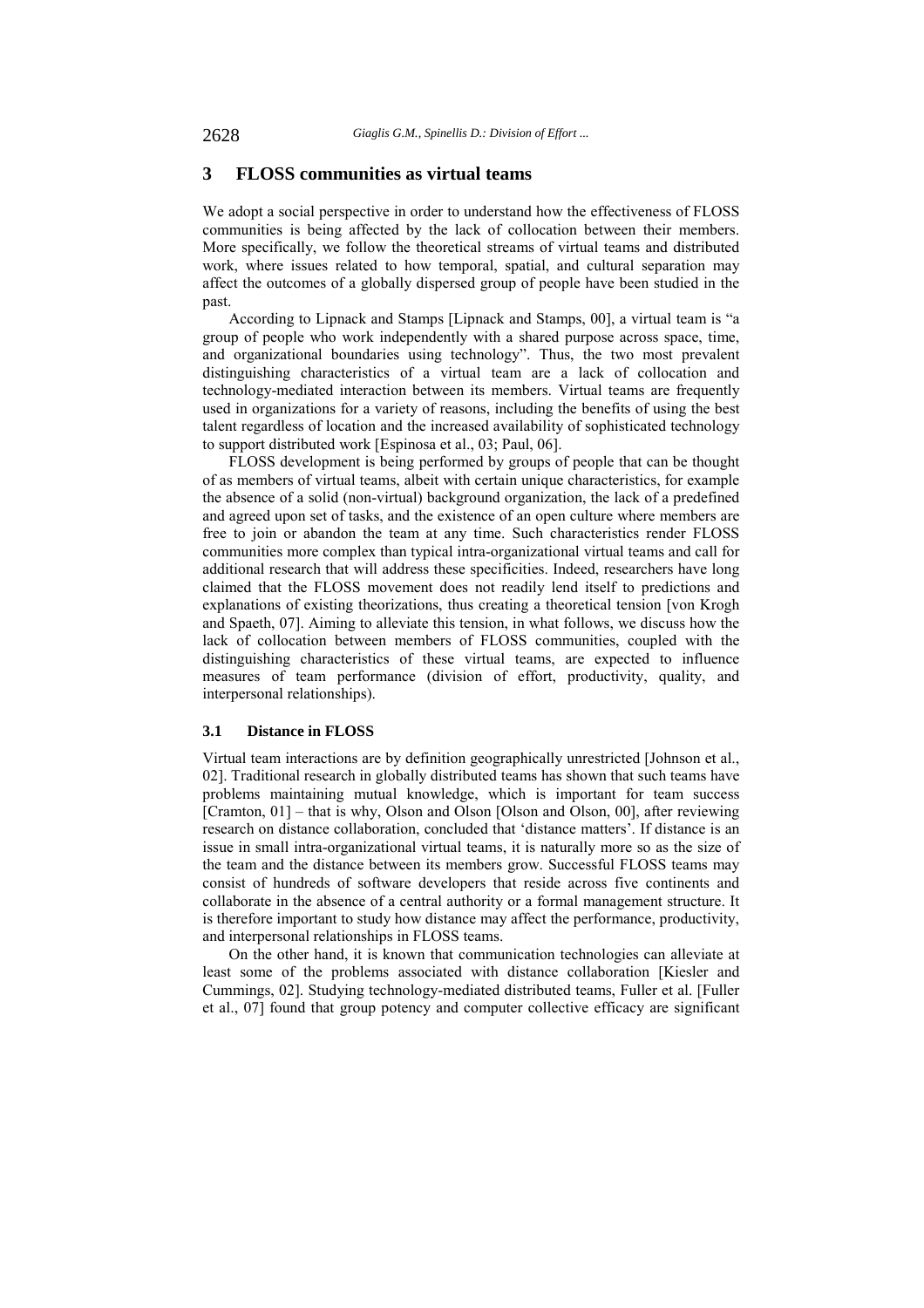### **3 FLOSS communities as virtual teams**

We adopt a social perspective in order to understand how the effectiveness of FLOSS communities is being affected by the lack of collocation between their members. More specifically, we follow the theoretical streams of virtual teams and distributed work, where issues related to how temporal, spatial, and cultural separation may affect the outcomes of a globally dispersed group of people have been studied in the past.

According to Lipnack and Stamps [Lipnack and Stamps, 00], a virtual team is "a group of people who work independently with a shared purpose across space, time, and organizational boundaries using technology". Thus, the two most prevalent distinguishing characteristics of a virtual team are a lack of collocation and technology-mediated interaction between its members. Virtual teams are frequently used in organizations for a variety of reasons, including the benefits of using the best talent regardless of location and the increased availability of sophisticated technology to support distributed work [Espinosa et al., 03; Paul, 06].

FLOSS development is being performed by groups of people that can be thought of as members of virtual teams, albeit with certain unique characteristics, for example the absence of a solid (non-virtual) background organization, the lack of a predefined and agreed upon set of tasks, and the existence of an open culture where members are free to join or abandon the team at any time. Such characteristics render FLOSS communities more complex than typical intra-organizational virtual teams and call for additional research that will address these specificities. Indeed, researchers have long claimed that the FLOSS movement does not readily lend itself to predictions and explanations of existing theorizations, thus creating a theoretical tension [von Krogh and Spaeth, 07]. Aiming to alleviate this tension, in what follows, we discuss how the lack of collocation between members of FLOSS communities, coupled with the distinguishing characteristics of these virtual teams, are expected to influence measures of team performance (division of effort, productivity, quality, and interpersonal relationships).

### **3.1 Distance in FLOSS**

Virtual team interactions are by definition geographically unrestricted [Johnson et al., 02]. Traditional research in globally distributed teams has shown that such teams have problems maintaining mutual knowledge, which is important for team success [Cramton, 01] – that is why, Olson and Olson [Olson and Olson, 00], after reviewing research on distance collaboration, concluded that 'distance matters'. If distance is an issue in small intra-organizational virtual teams, it is naturally more so as the size of the team and the distance between its members grow. Successful FLOSS teams may consist of hundreds of software developers that reside across five continents and collaborate in the absence of a central authority or a formal management structure. It is therefore important to study how distance may affect the performance, productivity, and interpersonal relationships in FLOSS teams.

On the other hand, it is known that communication technologies can alleviate at least some of the problems associated with distance collaboration [Kiesler and Cummings, 02]. Studying technology-mediated distributed teams, Fuller et al. [Fuller et al., 07] found that group potency and computer collective efficacy are significant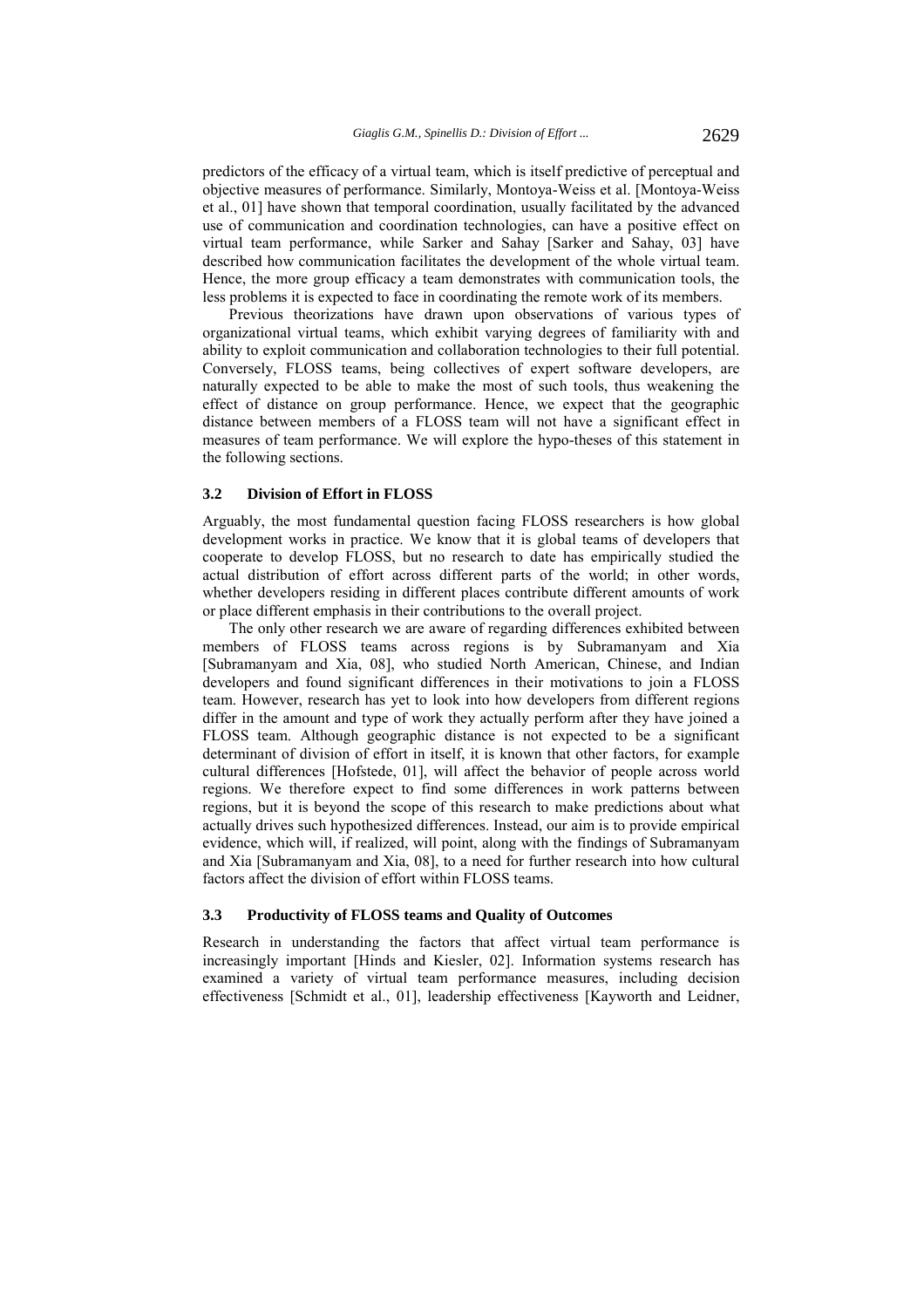predictors of the efficacy of a virtual team, which is itself predictive of perceptual and objective measures of performance. Similarly, Montoya-Weiss et al. [Montoya-Weiss et al., 01] have shown that temporal coordination, usually facilitated by the advanced use of communication and coordination technologies, can have a positive effect on virtual team performance, while Sarker and Sahay [Sarker and Sahay, 03] have described how communication facilitates the development of the whole virtual team. Hence, the more group efficacy a team demonstrates with communication tools, the less problems it is expected to face in coordinating the remote work of its members.

Previous theorizations have drawn upon observations of various types of organizational virtual teams, which exhibit varying degrees of familiarity with and ability to exploit communication and collaboration technologies to their full potential. Conversely, FLOSS teams, being collectives of expert software developers, are naturally expected to be able to make the most of such tools, thus weakening the effect of distance on group performance. Hence, we expect that the geographic distance between members of a FLOSS team will not have a significant effect in measures of team performance. We will explore the hypo-theses of this statement in the following sections.

### **3.2 Division of Effort in FLOSS**

Arguably, the most fundamental question facing FLOSS researchers is how global development works in practice. We know that it is global teams of developers that cooperate to develop FLOSS, but no research to date has empirically studied the actual distribution of effort across different parts of the world; in other words, whether developers residing in different places contribute different amounts of work or place different emphasis in their contributions to the overall project.

The only other research we are aware of regarding differences exhibited between members of FLOSS teams across regions is by Subramanyam and Xia [Subramanyam and Xia, 08], who studied North American, Chinese, and Indian developers and found significant differences in their motivations to join a FLOSS team. However, research has yet to look into how developers from different regions differ in the amount and type of work they actually perform after they have joined a FLOSS team. Although geographic distance is not expected to be a significant determinant of division of effort in itself, it is known that other factors, for example cultural differences [Hofstede, 01], will affect the behavior of people across world regions. We therefore expect to find some differences in work patterns between regions, but it is beyond the scope of this research to make predictions about what actually drives such hypothesized differences. Instead, our aim is to provide empirical evidence, which will, if realized, will point, along with the findings of Subramanyam and Xia [Subramanyam and Xia, 08], to a need for further research into how cultural factors affect the division of effort within FLOSS teams.

#### **3.3 Productivity of FLOSS teams and Quality of Outcomes**

Research in understanding the factors that affect virtual team performance is increasingly important [Hinds and Kiesler, 02]. Information systems research has examined a variety of virtual team performance measures, including decision effectiveness [Schmidt et al., 01], leadership effectiveness [Kayworth and Leidner,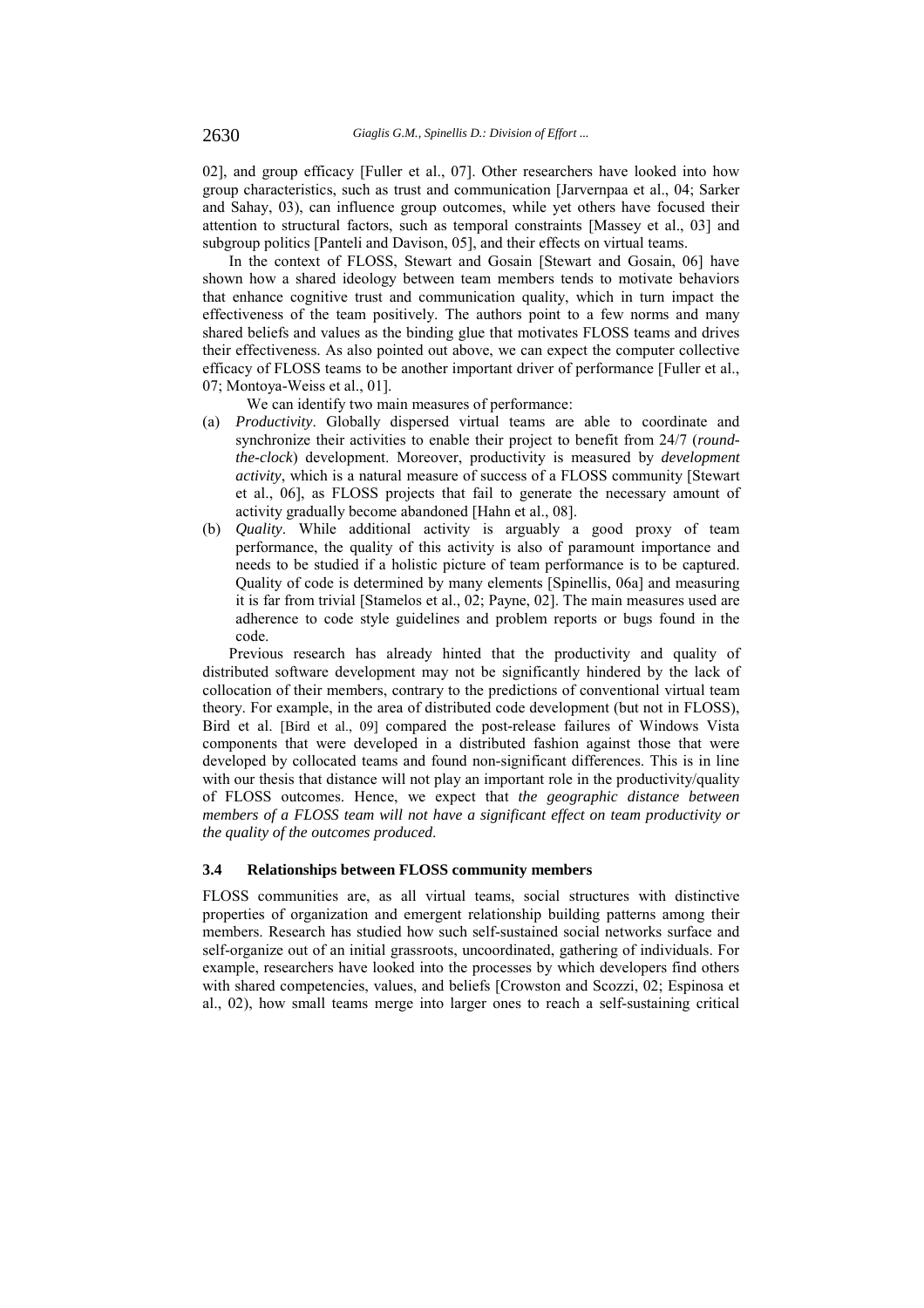02], and group efficacy [Fuller et al., 07]. Other researchers have looked into how group characteristics, such as trust and communication [Jarvernpaa et al., 04; Sarker and Sahay, 03), can influence group outcomes, while yet others have focused their attention to structural factors, such as temporal constraints [Massey et al., 03] and subgroup politics [Panteli and Davison, 05], and their effects on virtual teams.

In the context of FLOSS, Stewart and Gosain [Stewart and Gosain, 06] have shown how a shared ideology between team members tends to motivate behaviors that enhance cognitive trust and communication quality, which in turn impact the effectiveness of the team positively. The authors point to a few norms and many shared beliefs and values as the binding glue that motivates FLOSS teams and drives their effectiveness. As also pointed out above, we can expect the computer collective efficacy of FLOSS teams to be another important driver of performance [Fuller et al., 07; Montoya-Weiss et al., 01].

We can identify two main measures of performance:

- (a) *Productivity*. Globally dispersed virtual teams are able to coordinate and synchronize their activities to enable their project to benefit from 24/7 (*roundthe-clock*) development. Moreover, productivity is measured by *development activity*, which is a natural measure of success of a FLOSS community [Stewart et al., 06], as FLOSS projects that fail to generate the necessary amount of activity gradually become abandoned [Hahn et al., 08].
- (b) *Quality*. While additional activity is arguably a good proxy of team performance, the quality of this activity is also of paramount importance and needs to be studied if a holistic picture of team performance is to be captured. Quality of code is determined by many elements [Spinellis, 06a] and measuring it is far from trivial [Stamelos et al., 02; Payne, 02]. The main measures used are adherence to code style guidelines and problem reports or bugs found in the code.

Previous research has already hinted that the productivity and quality of distributed software development may not be significantly hindered by the lack of collocation of their members, contrary to the predictions of conventional virtual team theory. For example, in the area of distributed code development (but not in FLOSS), Bird et al. [Bird et al., 09] compared the post-release failures of Windows Vista components that were developed in a distributed fashion against those that were developed by collocated teams and found non-significant differences. This is in line with our thesis that distance will not play an important role in the productivity/quality of FLOSS outcomes. Hence, we expect that *the geographic distance between members of a FLOSS team will not have a significant effect on team productivity or the quality of the outcomes produced*.

### **3.4 Relationships between FLOSS community members**

FLOSS communities are, as all virtual teams, social structures with distinctive properties of organization and emergent relationship building patterns among their members. Research has studied how such self-sustained social networks surface and self-organize out of an initial grassroots, uncoordinated, gathering of individuals. For example, researchers have looked into the processes by which developers find others with shared competencies, values, and beliefs [Crowston and Scozzi, 02; Espinosa et al., 02), how small teams merge into larger ones to reach a self-sustaining critical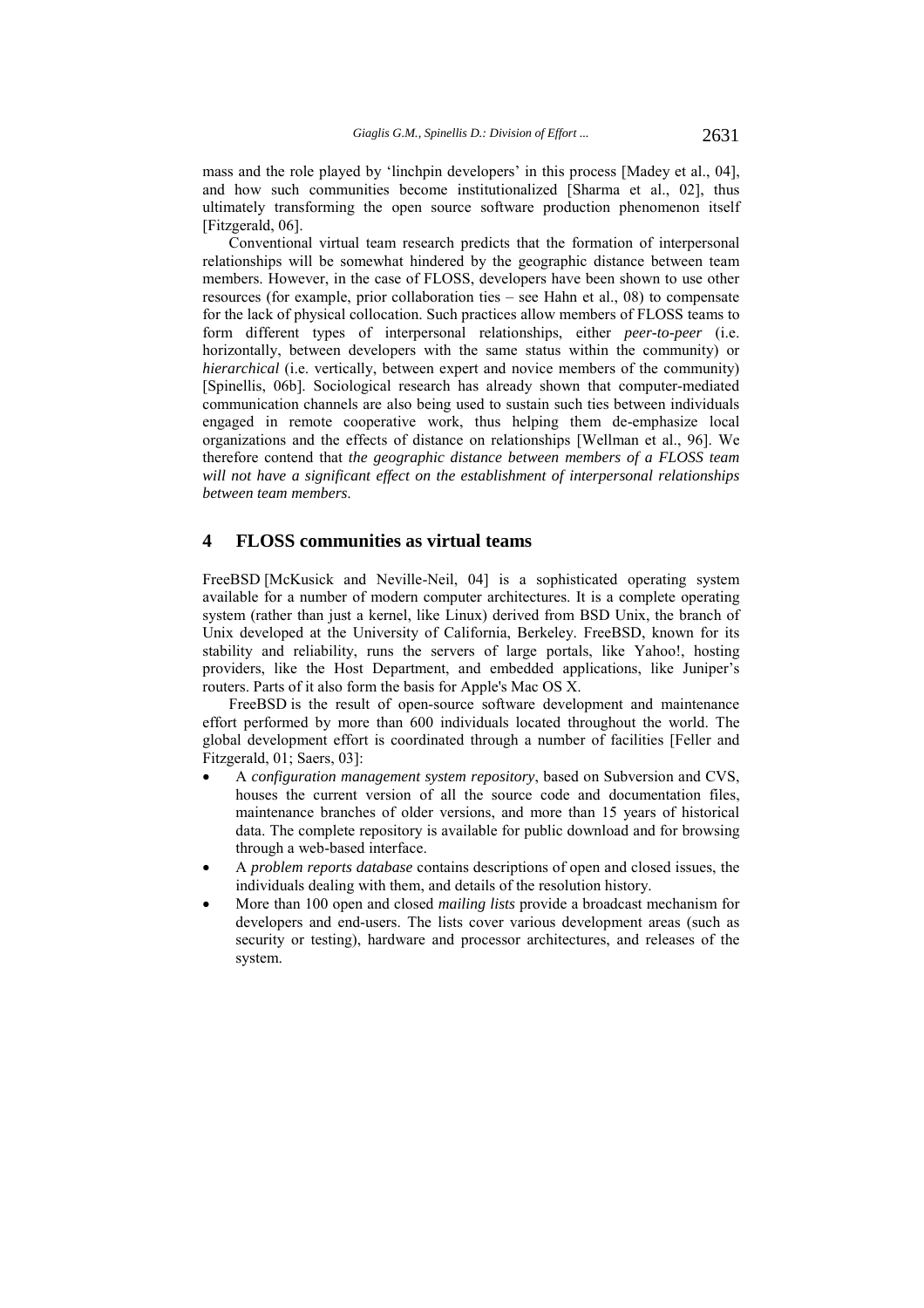mass and the role played by 'linchpin developers' in this process [Madey et al., 04], and how such communities become institutionalized [Sharma et al., 02], thus ultimately transforming the open source software production phenomenon itself [Fitzgerald, 06].

Conventional virtual team research predicts that the formation of interpersonal relationships will be somewhat hindered by the geographic distance between team members. However, in the case of FLOSS, developers have been shown to use other resources (for example, prior collaboration ties – see Hahn et al., 08) to compensate for the lack of physical collocation. Such practices allow members of FLOSS teams to form different types of interpersonal relationships, either *peer-to-peer* (i.e. horizontally, between developers with the same status within the community) or *hierarchical* (i.e. vertically, between expert and novice members of the community) [Spinellis, 06b]. Sociological research has already shown that computer-mediated communication channels are also being used to sustain such ties between individuals engaged in remote cooperative work, thus helping them de-emphasize local organizations and the effects of distance on relationships [Wellman et al., 96]. We therefore contend that *the geographic distance between members of a FLOSS team will not have a significant effect on the establishment of interpersonal relationships between team members*.

# **4 FLOSS communities as virtual teams**

FreeBSD [McKusick and Neville-Neil, 04] is a sophisticated operating system available for a number of modern computer architectures. It is a complete operating system (rather than just a kernel, like Linux) derived from BSD Unix, the branch of Unix developed at the University of California, Berkeley. FreeBSD, known for its stability and reliability, runs the servers of large portals, like Yahoo!, hosting providers, like the Host Department, and embedded applications, like Juniper's routers. Parts of it also form the basis for Apple's Mac OS X.

FreeBSD is the result of open-source software development and maintenance effort performed by more than 600 individuals located throughout the world. The global development effort is coordinated through a number of facilities [Feller and Fitzgerald, 01; Saers, 03]:

- A *configuration management system repository*, based on Subversion and CVS, houses the current version of all the source code and documentation files, maintenance branches of older versions, and more than 15 years of historical data. The complete repository is available for public download and for browsing through a web-based interface.
- A *problem reports database* contains descriptions of open and closed issues, the individuals dealing with them, and details of the resolution history.
- More than 100 open and closed *mailing lists* provide a broadcast mechanism for developers and end-users. The lists cover various development areas (such as security or testing), hardware and processor architectures, and releases of the system.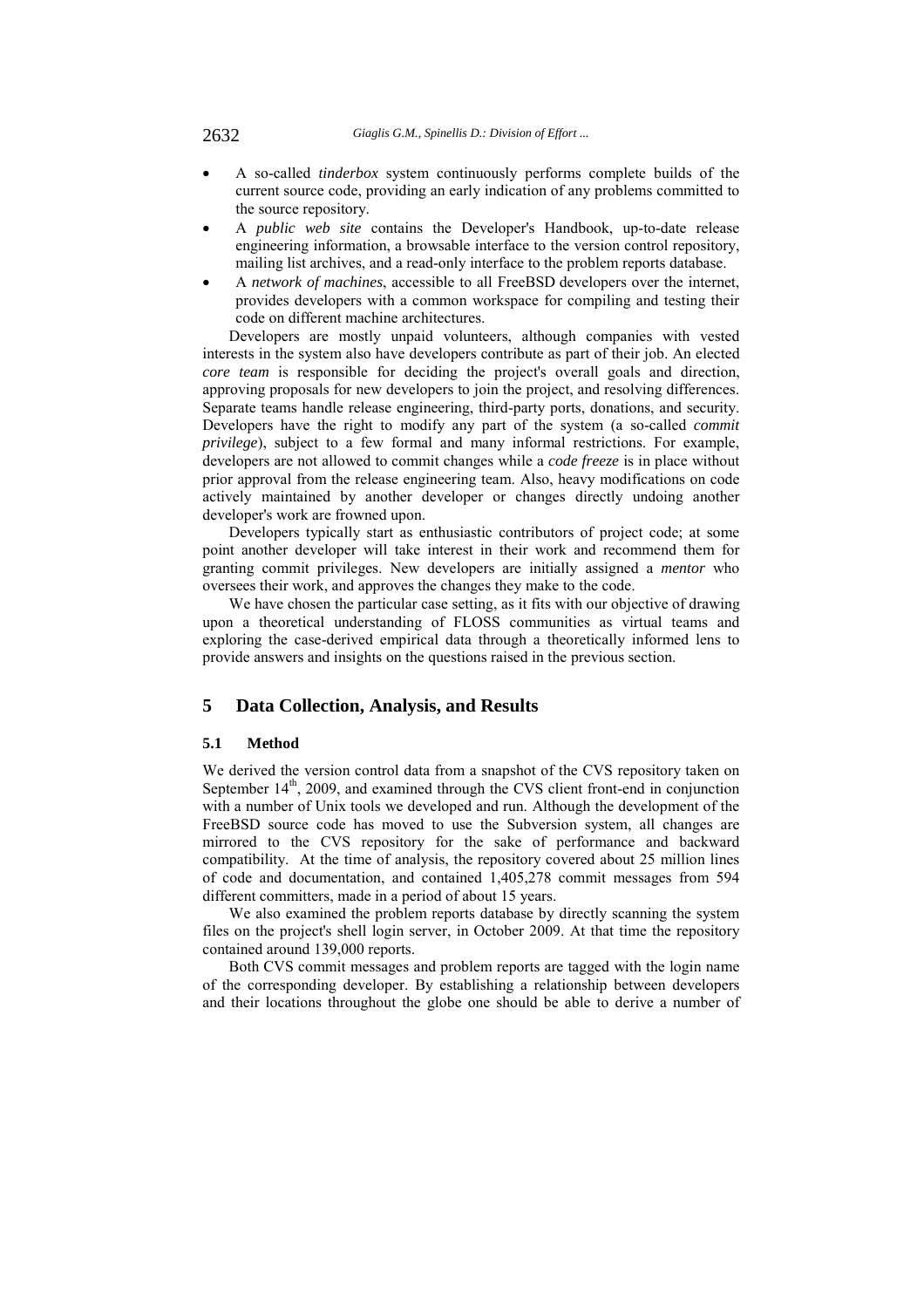- A so-called *tinderbox* system continuously performs complete builds of the current source code, providing an early indication of any problems committed to the source repository.
- A *public web site* contains the Developer's Handbook, up-to-date release engineering information, a browsable interface to the version control repository, mailing list archives, and a read-only interface to the problem reports database.
- A *network of machines*, accessible to all FreeBSD developers over the internet, provides developers with a common workspace for compiling and testing their code on different machine architectures.

Developers are mostly unpaid volunteers, although companies with vested interests in the system also have developers contribute as part of their job. An elected *core team* is responsible for deciding the project's overall goals and direction, approving proposals for new developers to join the project, and resolving differences. Separate teams handle release engineering, third-party ports, donations, and security. Developers have the right to modify any part of the system (a so-called *commit privilege*), subject to a few formal and many informal restrictions. For example, developers are not allowed to commit changes while a *code freeze* is in place without prior approval from the release engineering team. Also, heavy modifications on code actively maintained by another developer or changes directly undoing another developer's work are frowned upon.

Developers typically start as enthusiastic contributors of project code; at some point another developer will take interest in their work and recommend them for granting commit privileges. New developers are initially assigned a *mentor* who oversees their work, and approves the changes they make to the code.

We have chosen the particular case setting, as it fits with our objective of drawing upon a theoretical understanding of FLOSS communities as virtual teams and exploring the case-derived empirical data through a theoretically informed lens to provide answers and insights on the questions raised in the previous section.

# **5 Data Collection, Analysis, and Results**

### **5.1 Method**

We derived the version control data from a snapshot of the CVS repository taken on September  $14<sup>th</sup>$ , 2009, and examined through the CVS client front-end in conjunction with a number of Unix tools we developed and run. Although the development of the FreeBSD source code has moved to use the Subversion system, all changes are mirrored to the CVS repository for the sake of performance and backward compatibility. At the time of analysis, the repository covered about 25 million lines of code and documentation, and contained 1,405,278 commit messages from 594 different committers, made in a period of about 15 years.

We also examined the problem reports database by directly scanning the system files on the project's shell login server, in October 2009. At that time the repository contained around 139,000 reports.

Both CVS commit messages and problem reports are tagged with the login name of the corresponding developer. By establishing a relationship between developers and their locations throughout the globe one should be able to derive a number of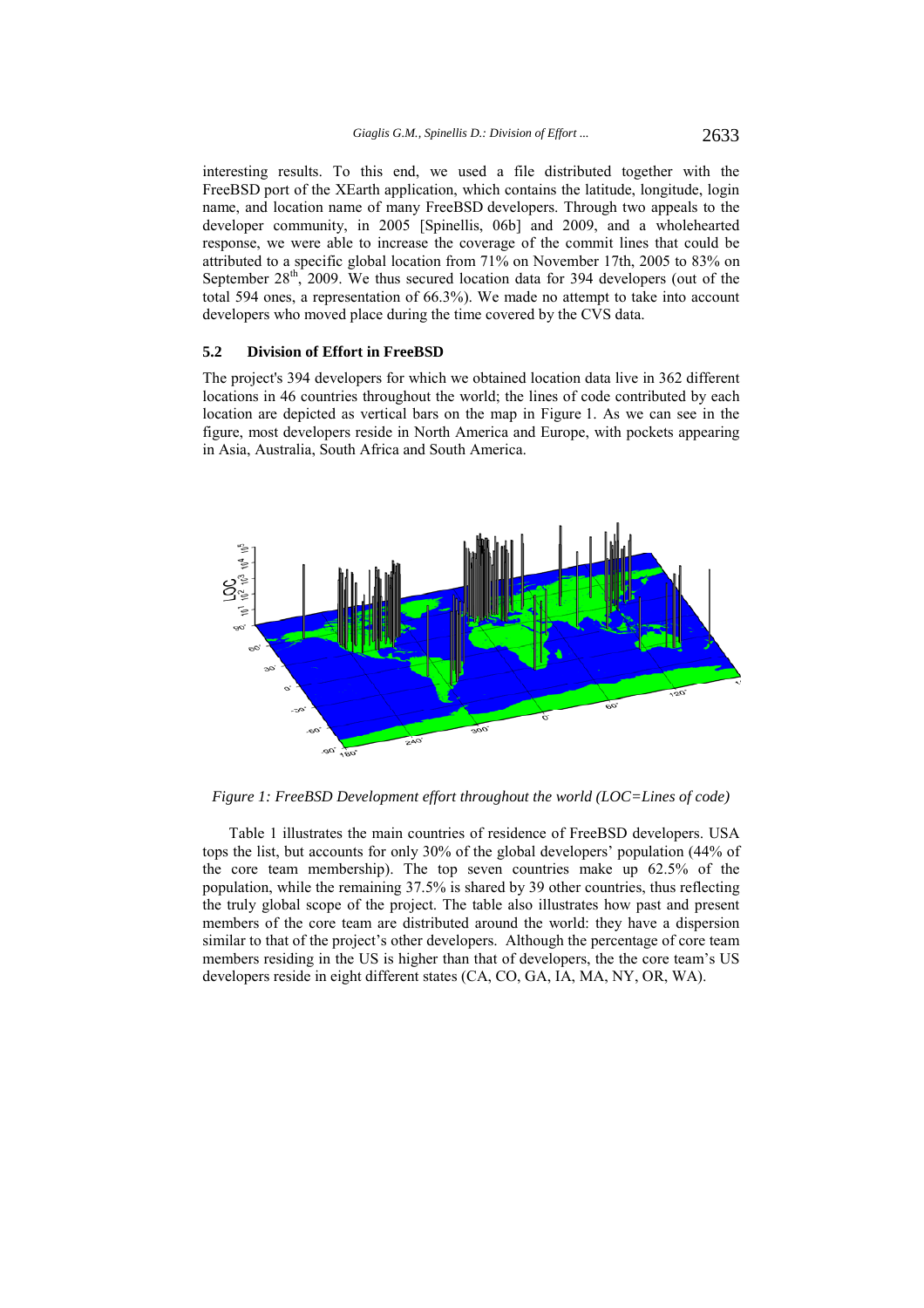interesting results. To this end, we used a file distributed together with the FreeBSD port of the XEarth application, which contains the latitude, longitude, login name, and location name of many FreeBSD developers. Through two appeals to the developer community, in 2005 [Spinellis, 06b] and 2009, and a wholehearted response, we were able to increase the coverage of the commit lines that could be attributed to a specific global location from 71% on November 17th, 2005 to 83% on September  $28<sup>th</sup>$ , 2009. We thus secured location data for 394 developers (out of the total 594 ones, a representation of 66.3%). We made no attempt to take into account developers who moved place during the time covered by the CVS data.

#### **5.2 Division of Effort in FreeBSD**

The project's 394 developers for which we obtained location data live in 362 different locations in 46 countries throughout the world; the lines of code contributed by each location are depicted as vertical bars on the map in Figure 1. As we can see in the figure, most developers reside in North America and Europe, with pockets appearing in Asia, Australia, South Africa and South America.



*Figure 1: FreeBSD Development effort throughout the world (LOC=Lines of code)* 

Table 1 illustrates the main countries of residence of FreeBSD developers. USA tops the list, but accounts for only 30% of the global developers' population (44% of the core team membership). The top seven countries make up 62.5% of the population, while the remaining 37.5% is shared by 39 other countries, thus reflecting the truly global scope of the project. The table also illustrates how past and present members of the core team are distributed around the world: they have a dispersion similar to that of the project's other developers. Although the percentage of core team members residing in the US is higher than that of developers, the the core team's US developers reside in eight different states (CA, CO, GA, IA, MA, NY, OR, WA).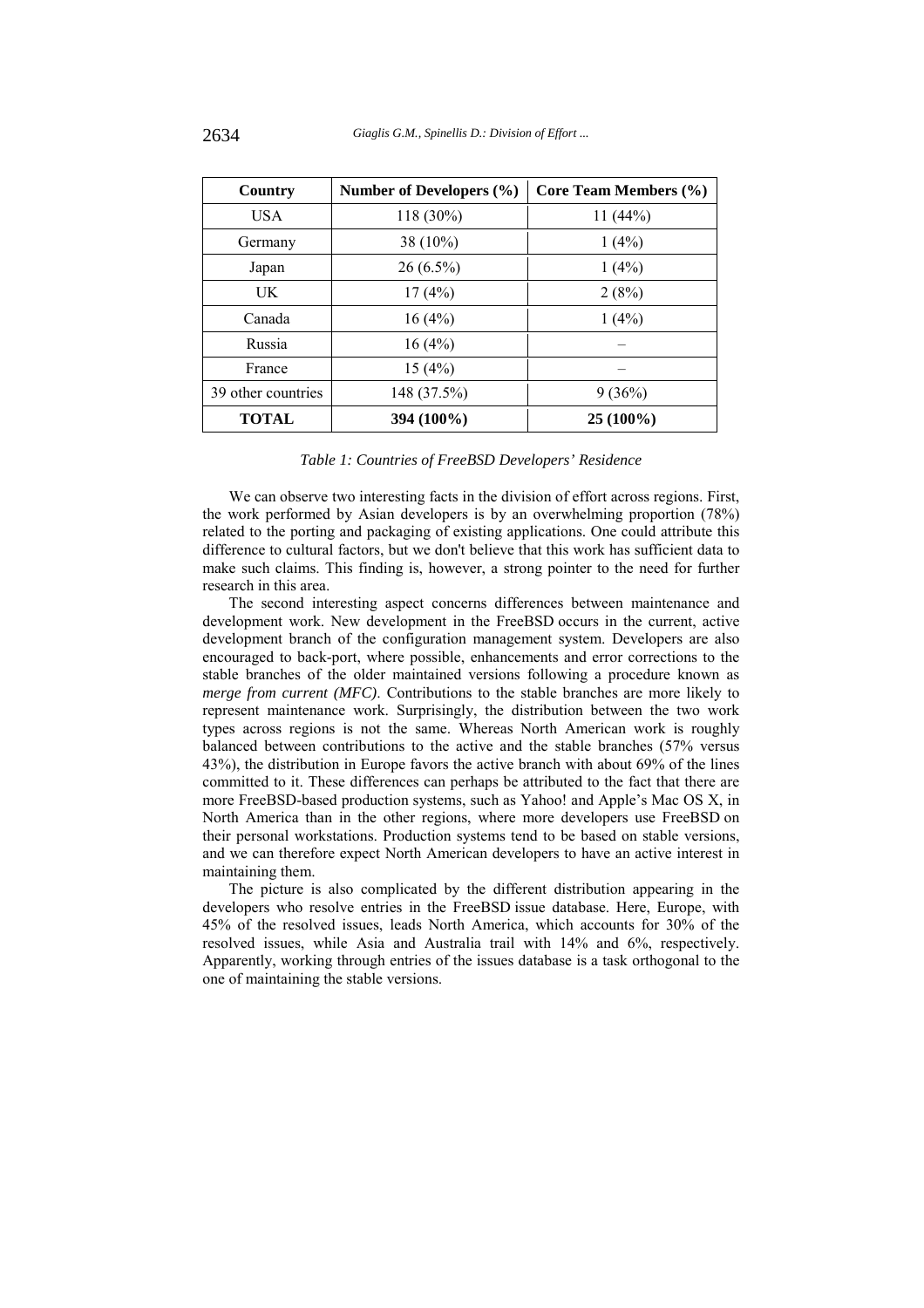| Country            | Number of Developers $(\% )$ | Core Team Members (%) |  |  |
|--------------------|------------------------------|-----------------------|--|--|
| USA                | 118 (30%)                    | 11(44%)               |  |  |
| Germany            | 38 (10%)                     | 1(4%)                 |  |  |
| Japan              | $26(6.5\%)$                  | 1(4%)                 |  |  |
| UK                 | 17(4%)                       | 2(8%)                 |  |  |
| Canada             | 16(4%)                       | 1(4%)                 |  |  |
| Russia             | 16(4%)                       |                       |  |  |
| France             | 15(4%)                       |                       |  |  |
| 39 other countries | 148 (37.5%)                  | 9(36%)                |  |  |
| <b>TOTAL</b>       | 394 (100%)                   | $25(100\%)$           |  |  |

### *Table 1: Countries of FreeBSD Developers' Residence*

We can observe two interesting facts in the division of effort across regions. First, the work performed by Asian developers is by an overwhelming proportion (78%) related to the porting and packaging of existing applications. One could attribute this difference to cultural factors, but we don't believe that this work has sufficient data to make such claims. This finding is, however, a strong pointer to the need for further research in this area.

The second interesting aspect concerns differences between maintenance and development work. New development in the FreeBSD occurs in the current, active development branch of the configuration management system. Developers are also encouraged to back-port, where possible, enhancements and error corrections to the stable branches of the older maintained versions following a procedure known as *merge from current (MFC)*. Contributions to the stable branches are more likely to represent maintenance work. Surprisingly, the distribution between the two work types across regions is not the same. Whereas North American work is roughly balanced between contributions to the active and the stable branches (57% versus 43%), the distribution in Europe favors the active branch with about 69% of the lines committed to it. These differences can perhaps be attributed to the fact that there are more FreeBSD-based production systems, such as Yahoo! and Apple's Mac OS X, in North America than in the other regions, where more developers use FreeBSD on their personal workstations. Production systems tend to be based on stable versions, and we can therefore expect North American developers to have an active interest in maintaining them.

The picture is also complicated by the different distribution appearing in the developers who resolve entries in the FreeBSD issue database. Here, Europe, with 45% of the resolved issues, leads North America, which accounts for 30% of the resolved issues, while Asia and Australia trail with 14% and 6%, respectively. Apparently, working through entries of the issues database is a task orthogonal to the one of maintaining the stable versions.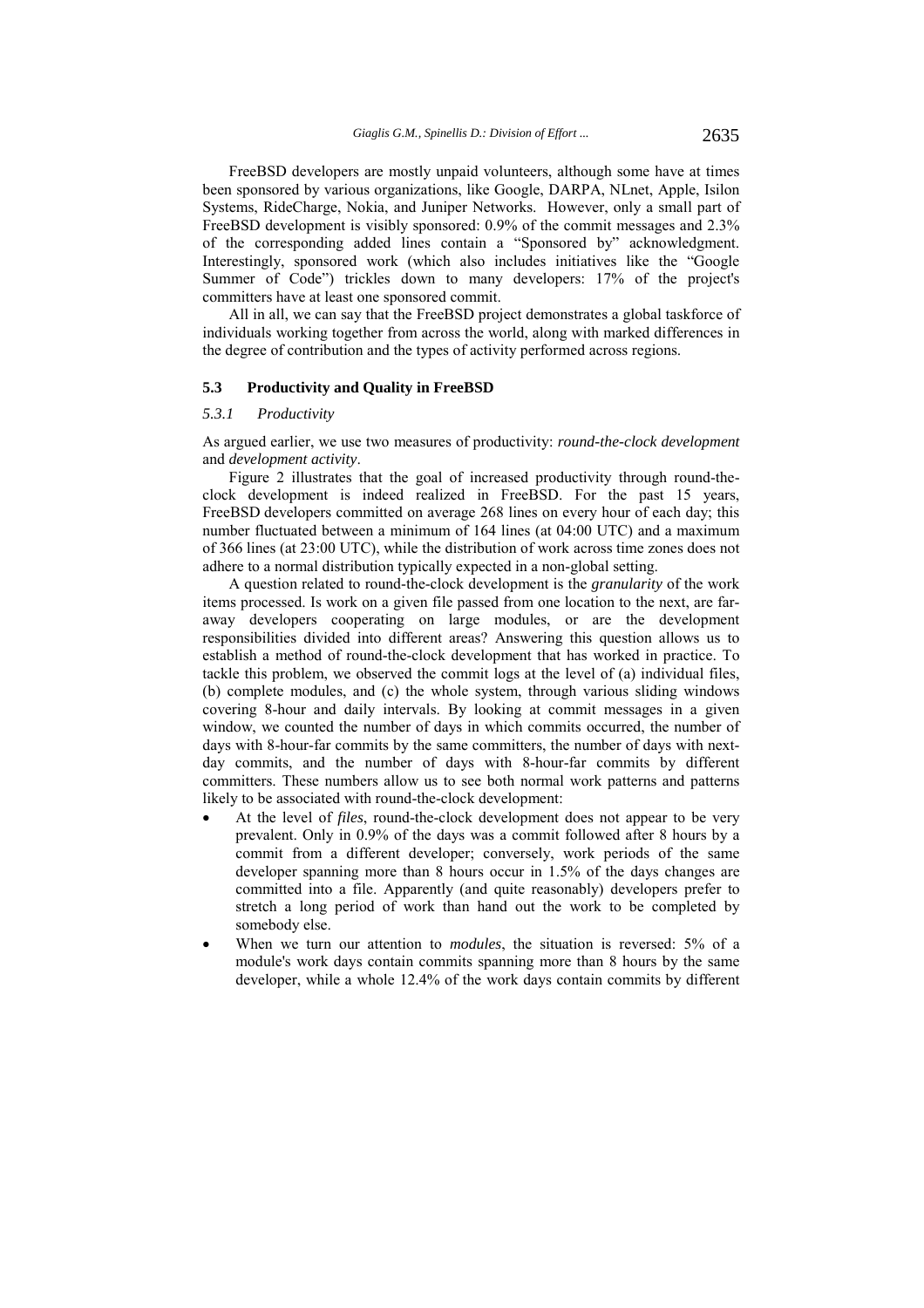FreeBSD developers are mostly unpaid volunteers, although some have at times been sponsored by various organizations, like Google, DARPA, NLnet, Apple, Isilon Systems, RideCharge, Nokia, and Juniper Networks. However, only a small part of FreeBSD development is visibly sponsored: 0.9% of the commit messages and 2.3% of the corresponding added lines contain a "Sponsored by" acknowledgment. Interestingly, sponsored work (which also includes initiatives like the "Google Summer of Code") trickles down to many developers: 17% of the project's committers have at least one sponsored commit.

All in all, we can say that the FreeBSD project demonstrates a global taskforce of individuals working together from across the world, along with marked differences in the degree of contribution and the types of activity performed across regions.

### **5.3 Productivity and Quality in FreeBSD**

### *5.3.1 Productivity*

As argued earlier, we use two measures of productivity: *round-the-clock development* and *development activity*.

Figure 2 illustrates that the goal of increased productivity through round-theclock development is indeed realized in FreeBSD. For the past 15 years, FreeBSD developers committed on average 268 lines on every hour of each day; this number fluctuated between a minimum of 164 lines (at 04:00 UTC) and a maximum of 366 lines (at 23:00 UTC), while the distribution of work across time zones does not adhere to a normal distribution typically expected in a non-global setting.

A question related to round-the-clock development is the *granularity* of the work items processed. Is work on a given file passed from one location to the next, are faraway developers cooperating on large modules, or are the development responsibilities divided into different areas? Answering this question allows us to establish a method of round-the-clock development that has worked in practice. To tackle this problem, we observed the commit logs at the level of (a) individual files, (b) complete modules, and (c) the whole system, through various sliding windows covering 8-hour and daily intervals. By looking at commit messages in a given window, we counted the number of days in which commits occurred, the number of days with 8-hour-far commits by the same committers, the number of days with nextday commits, and the number of days with 8-hour-far commits by different committers. These numbers allow us to see both normal work patterns and patterns likely to be associated with round-the-clock development:

- At the level of *files*, round-the-clock development does not appear to be very prevalent. Only in 0.9% of the days was a commit followed after 8 hours by a commit from a different developer; conversely, work periods of the same developer spanning more than 8 hours occur in 1.5% of the days changes are committed into a file. Apparently (and quite reasonably) developers prefer to stretch a long period of work than hand out the work to be completed by somebody else.
- When we turn our attention to *modules*, the situation is reversed: 5% of a module's work days contain commits spanning more than 8 hours by the same developer, while a whole 12.4% of the work days contain commits by different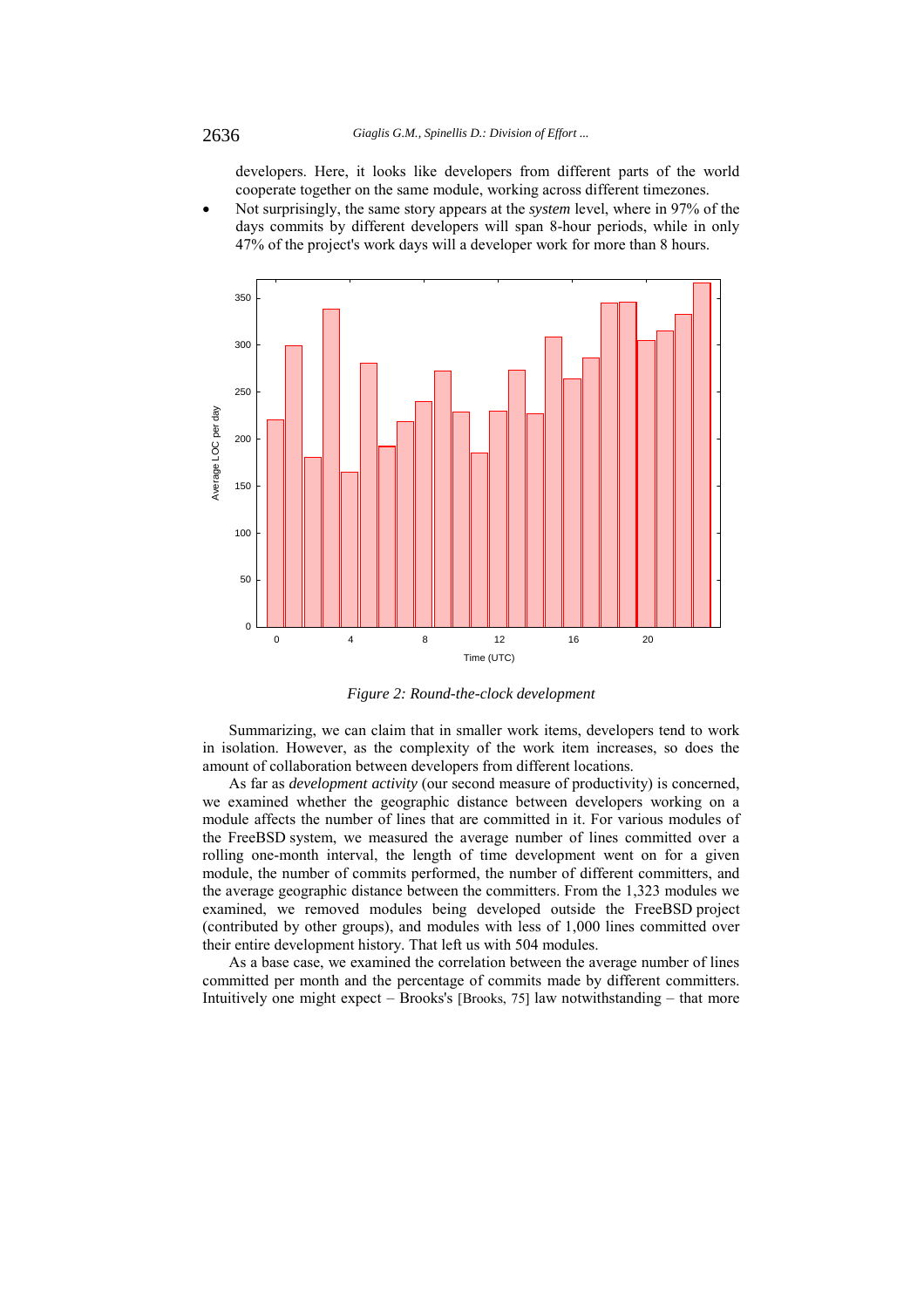developers. Here, it looks like developers from different parts of the world cooperate together on the same module, working across different timezones.

 Not surprisingly, the same story appears at the *system* level, where in 97% of the days commits by different developers will span 8-hour periods, while in only 47% of the project's work days will a developer work for more than 8 hours.



*Figure 2: Round-the-clock development* 

Summarizing, we can claim that in smaller work items, developers tend to work in isolation. However, as the complexity of the work item increases, so does the amount of collaboration between developers from different locations.

As far as *development activity* (our second measure of productivity) is concerned, we examined whether the geographic distance between developers working on a module affects the number of lines that are committed in it. For various modules of the FreeBSD system, we measured the average number of lines committed over a rolling one-month interval, the length of time development went on for a given module, the number of commits performed, the number of different committers, and the average geographic distance between the committers. From the 1,323 modules we examined, we removed modules being developed outside the FreeBSD project (contributed by other groups), and modules with less of 1,000 lines committed over their entire development history. That left us with 504 modules.

As a base case, we examined the correlation between the average number of lines committed per month and the percentage of commits made by different committers. Intuitively one might expect – Brooks's [Brooks, 75] law notwithstanding – that more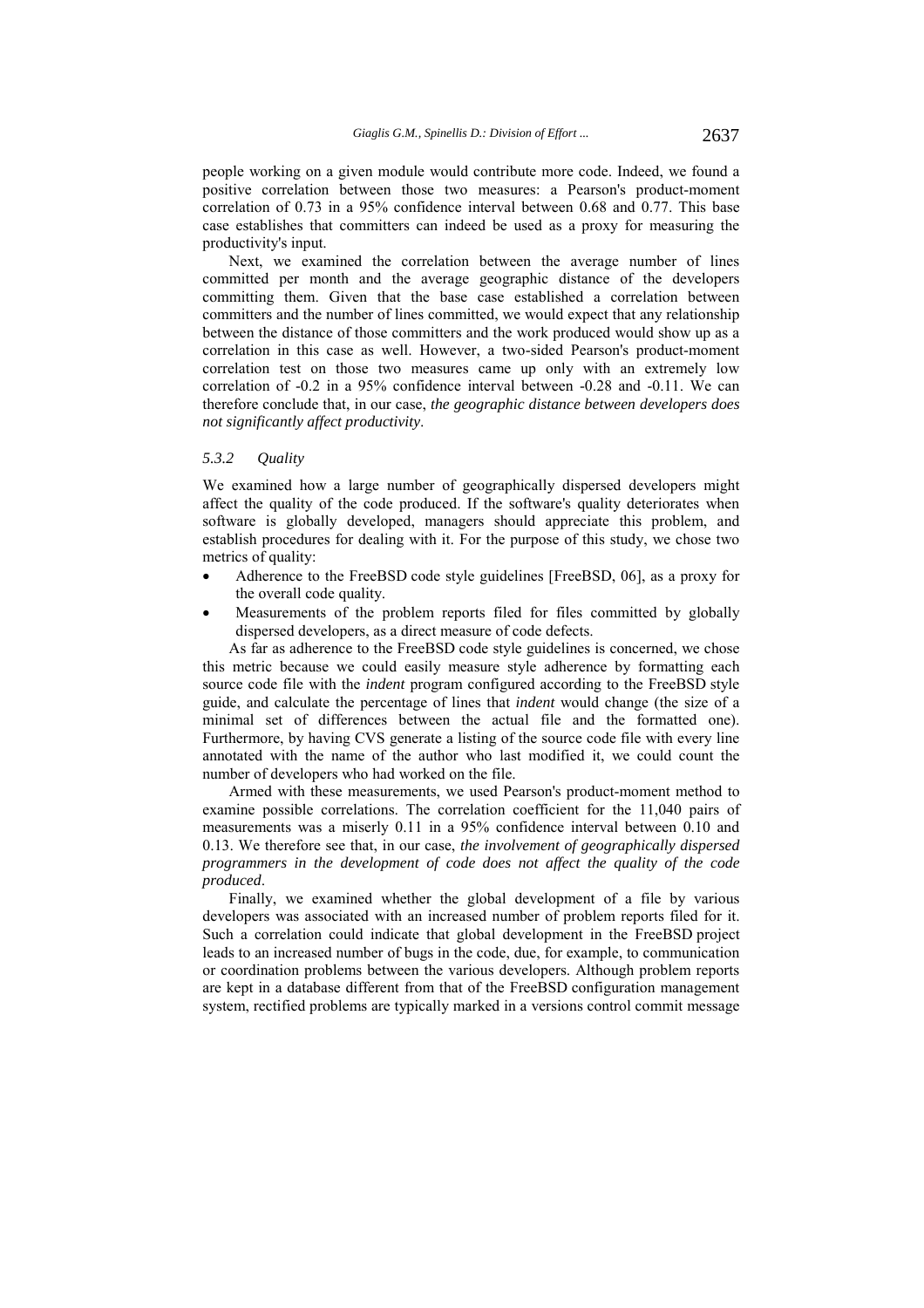people working on a given module would contribute more code. Indeed, we found a positive correlation between those two measures: a Pearson's product-moment correlation of 0.73 in a 95% confidence interval between 0.68 and 0.77. This base case establishes that committers can indeed be used as a proxy for measuring the productivity's input.

Next, we examined the correlation between the average number of lines committed per month and the average geographic distance of the developers committing them. Given that the base case established a correlation between committers and the number of lines committed, we would expect that any relationship between the distance of those committers and the work produced would show up as a correlation in this case as well. However, a two-sided Pearson's product-moment correlation test on those two measures came up only with an extremely low correlation of -0.2 in a 95% confidence interval between -0.28 and -0.11. We can therefore conclude that, in our case, *the geographic distance between developers does not significantly affect productivity*.

### *5.3.2 Quality*

We examined how a large number of geographically dispersed developers might affect the quality of the code produced. If the software's quality deteriorates when software is globally developed, managers should appreciate this problem, and establish procedures for dealing with it. For the purpose of this study, we chose two metrics of quality:

- Adherence to the FreeBSD code style guidelines [FreeBSD, 06], as a proxy for the overall code quality.
- Measurements of the problem reports filed for files committed by globally dispersed developers, as a direct measure of code defects.

As far as adherence to the FreeBSD code style guidelines is concerned, we chose this metric because we could easily measure style adherence by formatting each source code file with the *indent* program configured according to the FreeBSD style guide, and calculate the percentage of lines that *indent* would change (the size of a minimal set of differences between the actual file and the formatted one). Furthermore, by having CVS generate a listing of the source code file with every line annotated with the name of the author who last modified it, we could count the number of developers who had worked on the file.

Armed with these measurements, we used Pearson's product-moment method to examine possible correlations. The correlation coefficient for the 11,040 pairs of measurements was a miserly 0.11 in a 95% confidence interval between 0.10 and 0.13. We therefore see that, in our case, *the involvement of geographically dispersed programmers in the development of code does not affect the quality of the code produced*.

Finally, we examined whether the global development of a file by various developers was associated with an increased number of problem reports filed for it. Such a correlation could indicate that global development in the FreeBSD project leads to an increased number of bugs in the code, due, for example, to communication or coordination problems between the various developers. Although problem reports are kept in a database different from that of the FreeBSD configuration management system, rectified problems are typically marked in a versions control commit message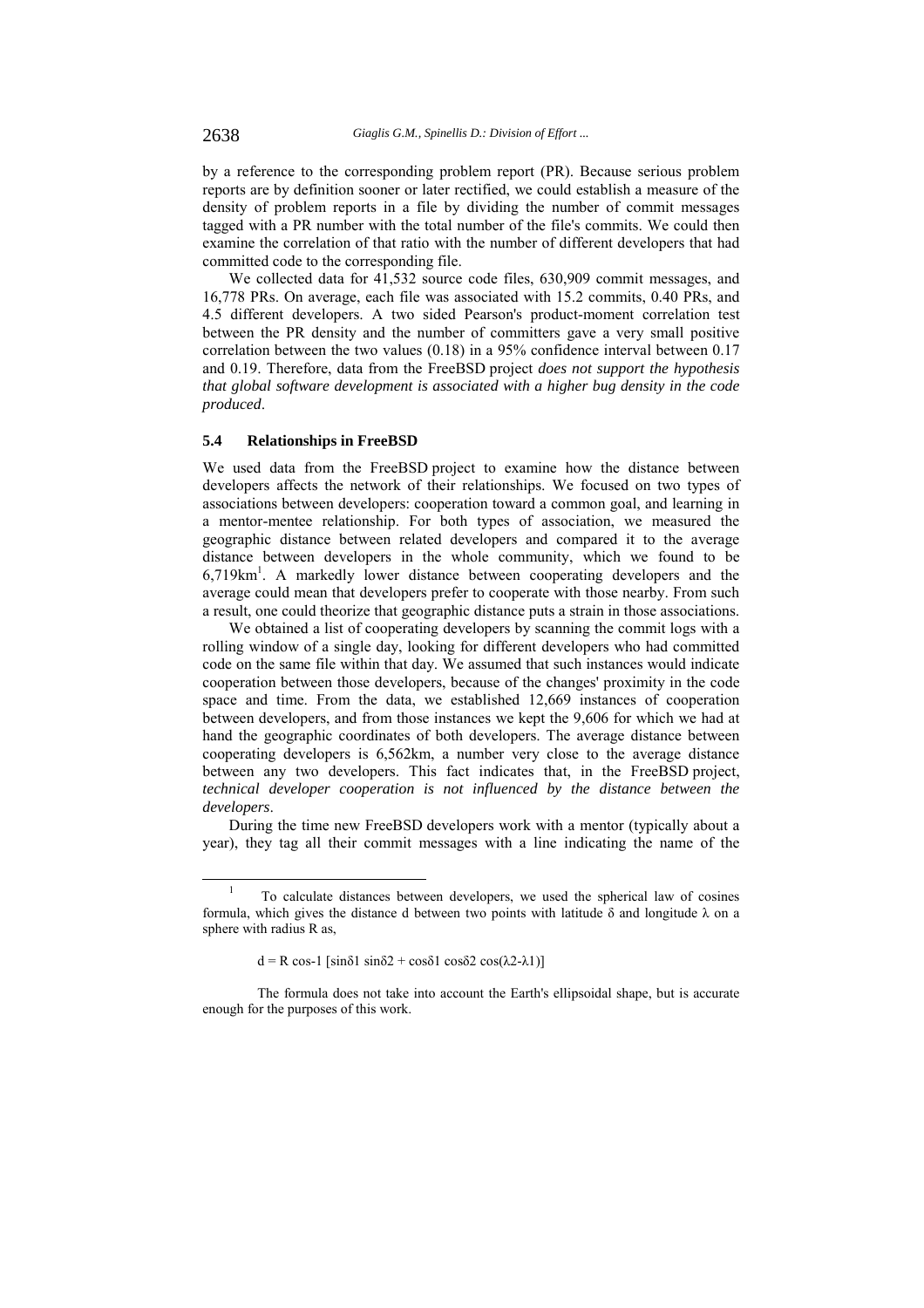by a reference to the corresponding problem report (PR). Because serious problem reports are by definition sooner or later rectified, we could establish a measure of the density of problem reports in a file by dividing the number of commit messages tagged with a PR number with the total number of the file's commits. We could then examine the correlation of that ratio with the number of different developers that had committed code to the corresponding file.

We collected data for 41,532 source code files, 630,909 commit messages, and 16,778 PRs. On average, each file was associated with 15.2 commits, 0.40 PRs, and 4.5 different developers. A two sided Pearson's product-moment correlation test between the PR density and the number of committers gave a very small positive correlation between the two values (0.18) in a 95% confidence interval between 0.17 and 0.19. Therefore, data from the FreeBSD project *does not support the hypothesis that global software development is associated with a higher bug density in the code produced*.

### **5.4 Relationships in FreeBSD**

We used data from the FreeBSD project to examine how the distance between developers affects the network of their relationships. We focused on two types of associations between developers: cooperation toward a common goal, and learning in a mentor-mentee relationship. For both types of association, we measured the geographic distance between related developers and compared it to the average distance between developers in the whole community, which we found to be 6,719km1 . A markedly lower distance between cooperating developers and the average could mean that developers prefer to cooperate with those nearby. From such a result, one could theorize that geographic distance puts a strain in those associations.

We obtained a list of cooperating developers by scanning the commit logs with a rolling window of a single day, looking for different developers who had committed code on the same file within that day. We assumed that such instances would indicate cooperation between those developers, because of the changes' proximity in the code space and time. From the data, we established 12,669 instances of cooperation between developers, and from those instances we kept the 9,606 for which we had at hand the geographic coordinates of both developers. The average distance between cooperating developers is 6,562km, a number very close to the average distance between any two developers. This fact indicates that, in the FreeBSD project, *technical developer cooperation is not influenced by the distance between the developers*.

During the time new FreeBSD developers work with a mentor (typically about a year), they tag all their commit messages with a line indicating the name of the

 <sup>1</sup> To calculate distances between developers, we used the spherical law of cosines formula, which gives the distance d between two points with latitude  $\delta$  and longitude  $\lambda$  on a sphere with radius R as.

 $d = R \cos 1$  [sinδ1 sinδ2 + cosδ1 cosδ2 cos(λ2-λ1)]

The formula does not take into account the Earth's ellipsoidal shape, but is accurate enough for the purposes of this work.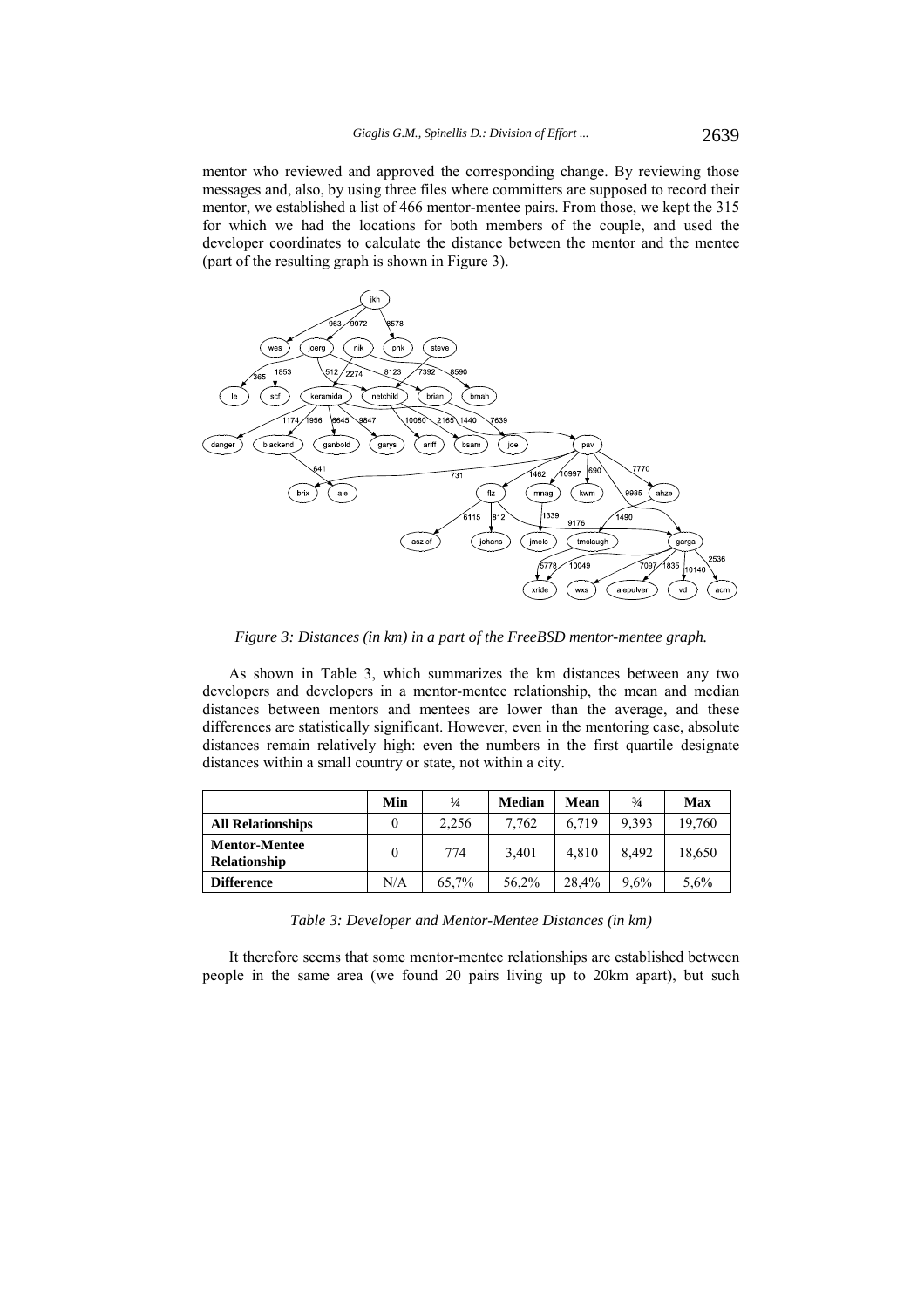mentor who reviewed and approved the corresponding change. By reviewing those messages and, also, by using three files where committers are supposed to record their mentor, we established a list of 466 mentor-mentee pairs. From those, we kept the 315 for which we had the locations for both members of the couple, and used the developer coordinates to calculate the distance between the mentor and the mentee (part of the resulting graph is shown in Figure 3).



*Figure 3: Distances (in km) in a part of the FreeBSD mentor-mentee graph.* 

As shown in Table 3, which summarizes the km distances between any two developers and developers in a mentor-mentee relationship, the mean and median distances between mentors and mentees are lower than the average, and these differences are statistically significant. However, even in the mentoring case, absolute distances remain relatively high: even the numbers in the first quartile designate distances within a small country or state, not within a city.

|                                             | Min | $\frac{1}{4}$ | <b>Median</b> | Mean  | $\frac{3}{4}$ | <b>Max</b> |
|---------------------------------------------|-----|---------------|---------------|-------|---------------|------------|
| <b>All Relationships</b>                    |     | 2.256         | 7.762         | 6.719 | 9.393         | 19,760     |
| <b>Mentor-Mentee</b><br><b>Relationship</b> |     | 774           | 3.401         | 4.810 | 8.492         | 18,650     |
| <b>Difference</b>                           | N/A | 65.7%         | 56,2%         | 28.4% | $9.6\%$       | 5,6%       |

*Table 3: Developer and Mentor-Mentee Distances (in km)* 

It therefore seems that some mentor-mentee relationships are established between people in the same area (we found 20 pairs living up to 20km apart), but such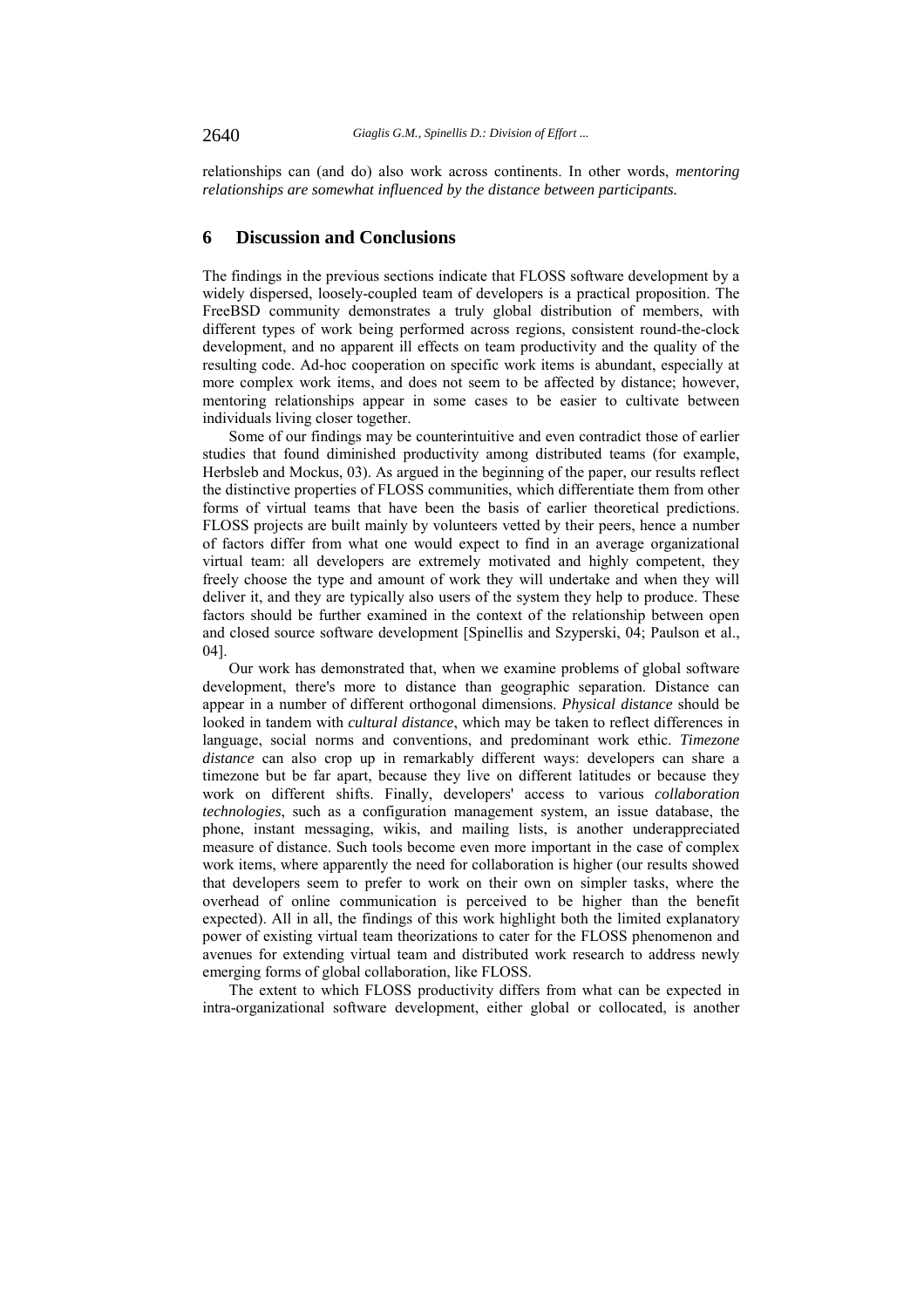relationships can (and do) also work across continents. In other words, *mentoring relationships are somewhat influenced by the distance between participants.* 

# **6 Discussion and Conclusions**

The findings in the previous sections indicate that FLOSS software development by a widely dispersed, loosely-coupled team of developers is a practical proposition. The FreeBSD community demonstrates a truly global distribution of members, with different types of work being performed across regions, consistent round-the-clock development, and no apparent ill effects on team productivity and the quality of the resulting code. Ad-hoc cooperation on specific work items is abundant, especially at more complex work items, and does not seem to be affected by distance; however, mentoring relationships appear in some cases to be easier to cultivate between individuals living closer together.

Some of our findings may be counterintuitive and even contradict those of earlier studies that found diminished productivity among distributed teams (for example, Herbsleb and Mockus, 03). As argued in the beginning of the paper, our results reflect the distinctive properties of FLOSS communities, which differentiate them from other forms of virtual teams that have been the basis of earlier theoretical predictions. FLOSS projects are built mainly by volunteers vetted by their peers, hence a number of factors differ from what one would expect to find in an average organizational virtual team: all developers are extremely motivated and highly competent, they freely choose the type and amount of work they will undertake and when they will deliver it, and they are typically also users of the system they help to produce. These factors should be further examined in the context of the relationship between open and closed source software development [Spinellis and Szyperski, 04; Paulson et al., 04].

Our work has demonstrated that, when we examine problems of global software development, there's more to distance than geographic separation. Distance can appear in a number of different orthogonal dimensions. *Physical distance* should be looked in tandem with *cultural distance*, which may be taken to reflect differences in language, social norms and conventions, and predominant work ethic. *Timezone distance* can also crop up in remarkably different ways: developers can share a timezone but be far apart, because they live on different latitudes or because they work on different shifts. Finally, developers' access to various *collaboration technologies*, such as a configuration management system, an issue database, the phone, instant messaging, wikis, and mailing lists, is another underappreciated measure of distance. Such tools become even more important in the case of complex work items, where apparently the need for collaboration is higher (our results showed that developers seem to prefer to work on their own on simpler tasks, where the overhead of online communication is perceived to be higher than the benefit expected). All in all, the findings of this work highlight both the limited explanatory power of existing virtual team theorizations to cater for the FLOSS phenomenon and avenues for extending virtual team and distributed work research to address newly emerging forms of global collaboration, like FLOSS.

The extent to which FLOSS productivity differs from what can be expected in intra-organizational software development, either global or collocated, is another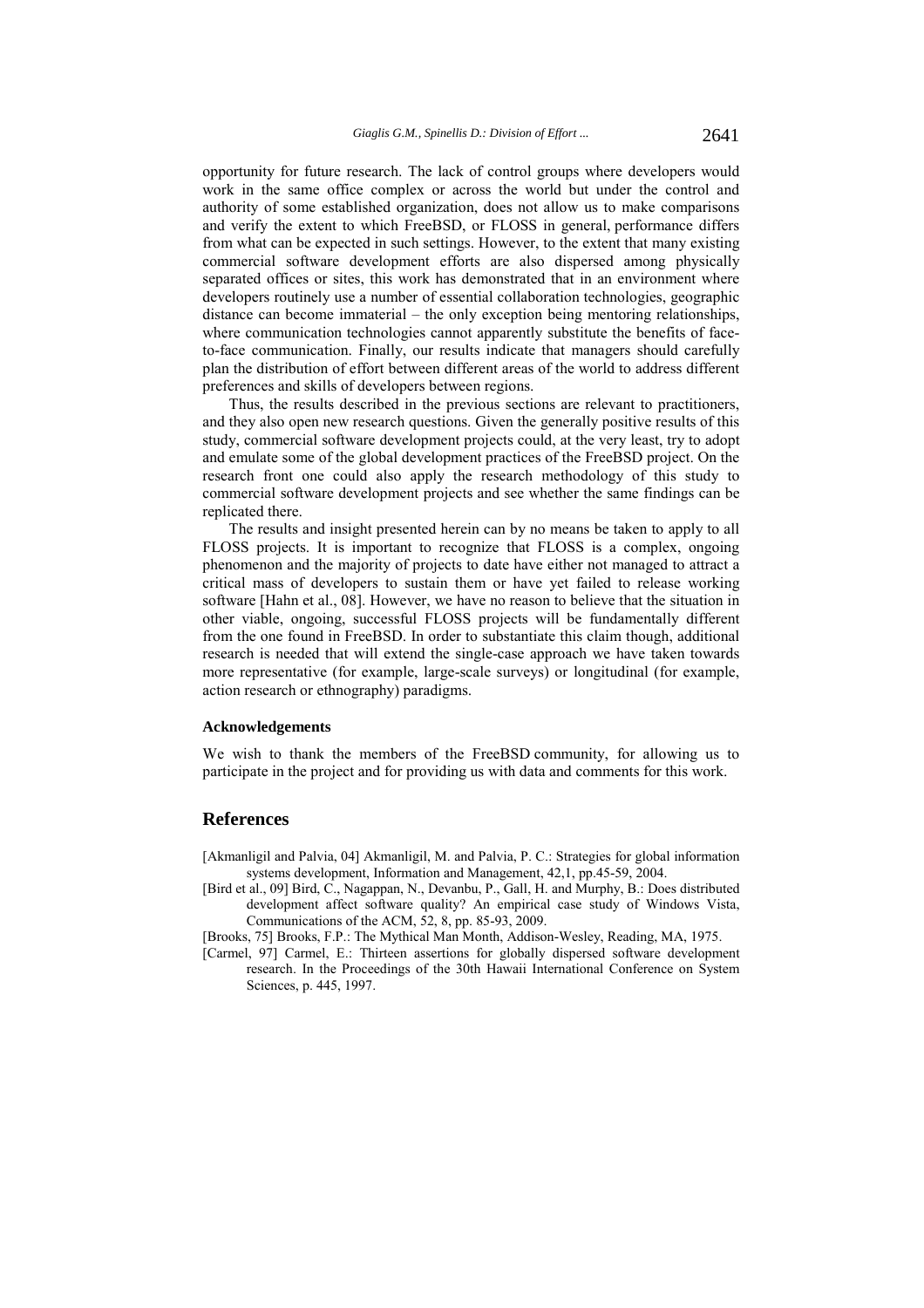opportunity for future research. The lack of control groups where developers would work in the same office complex or across the world but under the control and authority of some established organization, does not allow us to make comparisons and verify the extent to which FreeBSD, or FLOSS in general, performance differs from what can be expected in such settings. However, to the extent that many existing commercial software development efforts are also dispersed among physically separated offices or sites, this work has demonstrated that in an environment where developers routinely use a number of essential collaboration technologies, geographic distance can become immaterial – the only exception being mentoring relationships, where communication technologies cannot apparently substitute the benefits of faceto-face communication. Finally, our results indicate that managers should carefully plan the distribution of effort between different areas of the world to address different preferences and skills of developers between regions.

Thus, the results described in the previous sections are relevant to practitioners, and they also open new research questions. Given the generally positive results of this study, commercial software development projects could, at the very least, try to adopt and emulate some of the global development practices of the FreeBSD project. On the research front one could also apply the research methodology of this study to commercial software development projects and see whether the same findings can be replicated there.

The results and insight presented herein can by no means be taken to apply to all FLOSS projects. It is important to recognize that FLOSS is a complex, ongoing phenomenon and the majority of projects to date have either not managed to attract a critical mass of developers to sustain them or have yet failed to release working software [Hahn et al., 08]. However, we have no reason to believe that the situation in other viable, ongoing, successful FLOSS projects will be fundamentally different from the one found in FreeBSD. In order to substantiate this claim though, additional research is needed that will extend the single-case approach we have taken towards more representative (for example, large-scale surveys) or longitudinal (for example, action research or ethnography) paradigms.

### **Acknowledgements**

We wish to thank the members of the FreeBSD community, for allowing us to participate in the project and for providing us with data and comments for this work.

### **References**

[Akmanligil and Palvia, 04] Akmanligil, M. and Palvia, P. C.: Strategies for global information systems development, Information and Management, 42,1, pp.45-59, 2004.

[Bird et al., 09] Bird, C., Nagappan, N., Devanbu, P., Gall, H. and Murphy, B.: Does distributed development affect software quality? An empirical case study of Windows Vista, Communications of the ACM, 52, 8, pp. 85-93, 2009.

[Brooks, 75] Brooks, F.P.: The Mythical Man Month, Addison-Wesley, Reading, MA, 1975.

[Carmel, 97] Carmel, E.: Thirteen assertions for globally dispersed software development research. In the Proceedings of the 30th Hawaii International Conference on System Sciences, p. 445, 1997.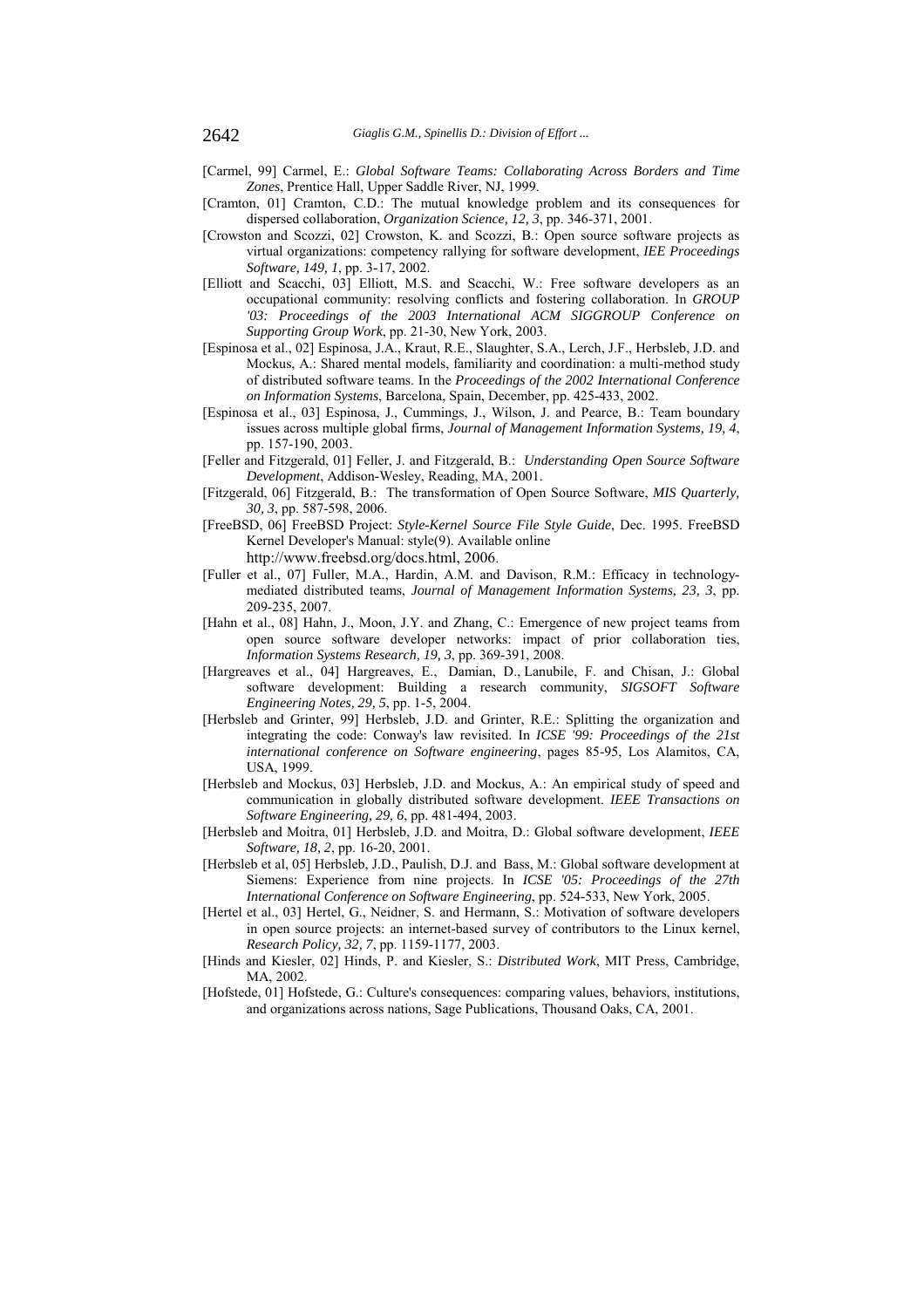- [Carmel, 99] Carmel, E.: *Global Software Teams: Collaborating Across Borders and Time Zones*, Prentice Hall, Upper Saddle River, NJ, 1999.
- [Cramton, 01] Cramton, C.D.: The mutual knowledge problem and its consequences for dispersed collaboration, *Organization Science, 12, 3*, pp. 346-371, 2001.
- [Crowston and Scozzi, 02] Crowston, K. and Scozzi, B.: Open source software projects as virtual organizations: competency rallying for software development, *IEE Proceedings Software, 149, 1*, pp. 3-17, 2002.
- [Elliott and Scacchi, 03] Elliott, M.S. and Scacchi, W.: Free software developers as an occupational community: resolving conflicts and fostering collaboration. In *GROUP '03: Proceedings of the 2003 International ACM SIGGROUP Conference on Supporting Group Work*, pp. 21-30, New York, 2003.
- [Espinosa et al., 02] Espinosa, J.A., Kraut, R.E., Slaughter, S.A., Lerch, J.F., Herbsleb, J.D. and Mockus, A.: Shared mental models, familiarity and coordination: a multi-method study of distributed software teams. In the *Proceedings of the 2002 International Conference on Information Systems*, Barcelona, Spain, December, pp. 425-433, 2002.
- [Espinosa et al., 03] Espinosa, J., Cummings, J., Wilson, J. and Pearce, B.: Team boundary issues across multiple global firms, *Journal of Management Information Systems, 19, 4*, pp. 157-190, 2003.
- [Feller and Fitzgerald, 01] Feller, J. and Fitzgerald, B.: *Understanding Open Source Software Development*, Addison-Wesley, Reading, MA, 2001.
- [Fitzgerald, 06] Fitzgerald, B.: The transformation of Open Source Software, *MIS Quarterly, 30, 3*, pp. 587-598, 2006.
- [FreeBSD, 06] FreeBSD Project: *Style-Kernel Source File Style Guide*, Dec. 1995. FreeBSD Kernel Developer's Manual: style(9). Available online
	- http://www.freebsd.org/docs.html, 2006.
- [Fuller et al., 07] Fuller, M.A., Hardin, A.M. and Davison, R.M.: Efficacy in technologymediated distributed teams, *Journal of Management Information Systems, 23, 3*, pp. 209-235, 2007.
- [Hahn et al., 08] Hahn, J., Moon, J.Y. and Zhang, C.: Emergence of new project teams from open source software developer networks: impact of prior collaboration ties, *Information Systems Research, 19, 3*, pp. 369-391, 2008.
- [Hargreaves et al., 04] Hargreaves, E., Damian, D., Lanubile, F. and Chisan, J.: Global software development: Building a research community, *SIGSOFT Software Engineering Notes, 29, 5*, pp. 1-5, 2004.
- [Herbsleb and Grinter, 99] Herbsleb, J.D. and Grinter, R.E.: Splitting the organization and integrating the code: Conway's law revisited. In *ICSE '99: Proceedings of the 21st international conference on Software engineering*, pages 85-95, Los Alamitos, CA, USA, 1999.
- [Herbsleb and Mockus, 03] Herbsleb, J.D. and Mockus, A.: An empirical study of speed and communication in globally distributed software development. *IEEE Transactions on Software Engineering, 29, 6*, pp. 481-494, 2003.
- [Herbsleb and Moitra, 01] Herbsleb, J.D. and Moitra, D.: Global software development, *IEEE Software, 18, 2*, pp. 16-20, 2001.
- [Herbsleb et al, 05] Herbsleb, J.D., Paulish, D.J. and Bass, M.: Global software development at Siemens: Experience from nine projects. In *ICSE '05: Proceedings of the 27th International Conference on Software Engineering*, pp. 524-533, New York, 2005.
- [Hertel et al., 03] Hertel, G., Neidner, S. and Hermann, S.: Motivation of software developers in open source projects: an internet-based survey of contributors to the Linux kernel, *Research Policy, 32, 7*, pp. 1159-1177, 2003.
- [Hinds and Kiesler, 02] Hinds, P. and Kiesler, S.: *Distributed Work*, MIT Press, Cambridge, MA, 2002.
- [Hofstede, 01] Hofstede, G.: Culture's consequences: comparing values, behaviors, institutions, and organizations across nations, Sage Publications, Thousand Oaks, CA, 2001.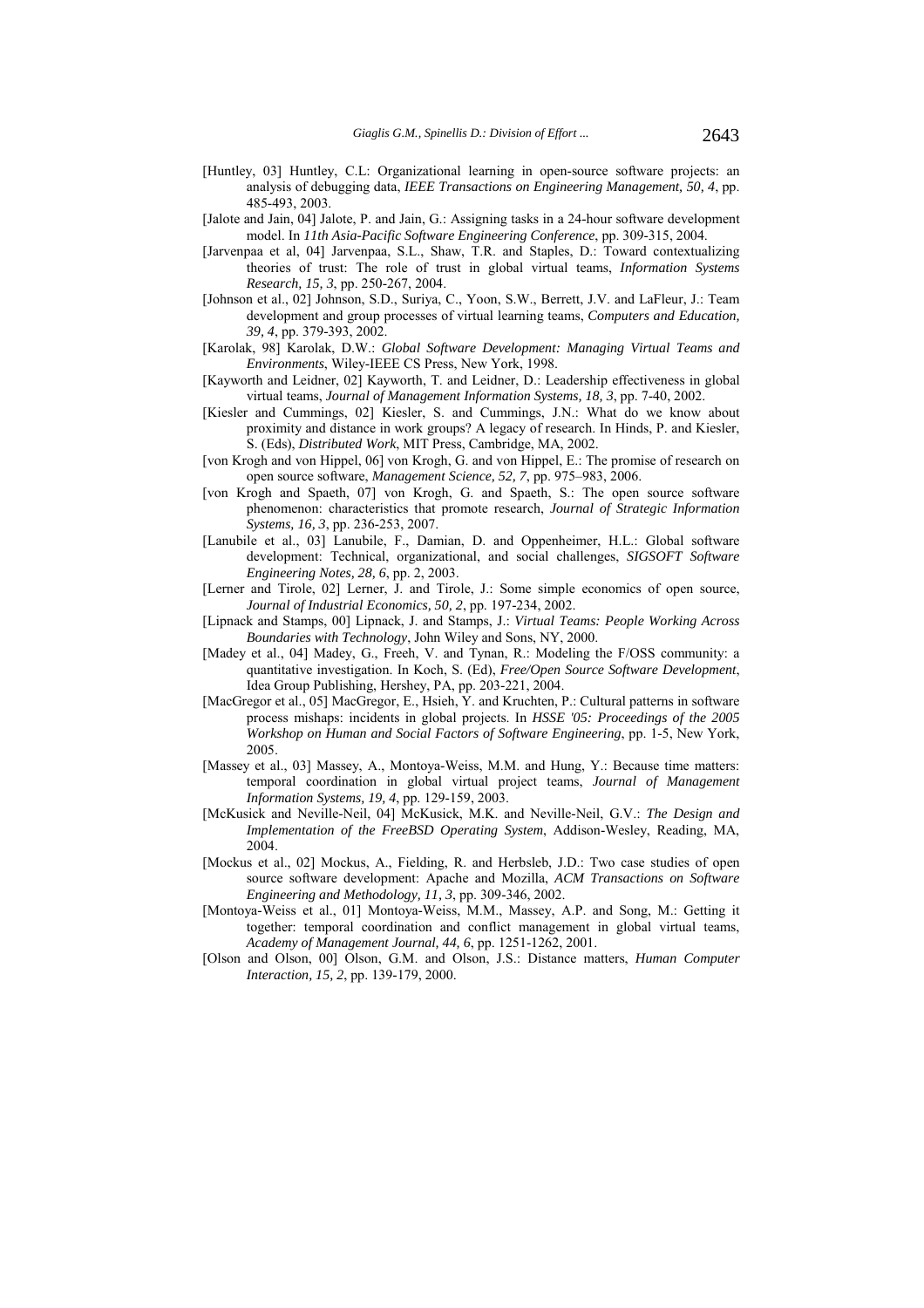- [Huntley, 03] Huntley, C.L: Organizational learning in open-source software projects: an analysis of debugging data, *IEEE Transactions on Engineering Management, 50, 4*, pp. 485-493, 2003.
- [Jalote and Jain, 04] Jalote, P. and Jain, G.: Assigning tasks in a 24-hour software development model. In *11th Asia-Pacific Software Engineering Conference*, pp. 309-315, 2004.
- [Jarvenpaa et al, 04] Jarvenpaa, S.L., Shaw, T.R. and Staples, D.: Toward contextualizing theories of trust: The role of trust in global virtual teams, *Information Systems Research, 15, 3*, pp. 250-267, 2004.
- [Johnson et al., 02] Johnson, S.D., Suriya, C., Yoon, S.W., Berrett, J.V. and LaFleur, J.: Team development and group processes of virtual learning teams, *Computers and Education, 39, 4*, pp. 379-393, 2002.
- [Karolak, 98] Karolak, D.W.: *Global Software Development: Managing Virtual Teams and Environments*, Wiley-IEEE CS Press, New York, 1998.
- [Kayworth and Leidner, 02] Kayworth, T. and Leidner, D.: Leadership effectiveness in global virtual teams, *Journal of Management Information Systems, 18, 3*, pp. 7-40, 2002.
- [Kiesler and Cummings, 02] Kiesler, S. and Cummings, J.N.: What do we know about proximity and distance in work groups? A legacy of research. In Hinds, P. and Kiesler, S. (Eds), *Distributed Work*, MIT Press, Cambridge, MA, 2002.
- [von Krogh and von Hippel, 06] von Krogh, G. and von Hippel, E.: The promise of research on open source software, *Management Science, 52, 7*, pp. 975–983, 2006.
- [von Krogh and Spaeth, 07] von Krogh, G. and Spaeth, S.: The open source software phenomenon: characteristics that promote research, *Journal of Strategic Information Systems, 16, 3*, pp. 236-253, 2007.
- [Lanubile et al., 03] Lanubile, F., Damian, D. and Oppenheimer, H.L.: Global software development: Technical, organizational, and social challenges, *SIGSOFT Software Engineering Notes, 28, 6*, pp. 2, 2003.
- [Lerner and Tirole, 02] Lerner, J. and Tirole, J.: Some simple economics of open source, *Journal of Industrial Economics, 50, 2*, pp. 197-234, 2002.
- [Lipnack and Stamps, 00] Lipnack, J. and Stamps, J.: *Virtual Teams: People Working Across Boundaries with Technology*, John Wiley and Sons, NY, 2000.
- [Madey et al., 04] Madey, G., Freeh, V. and Tynan, R.: Modeling the F/OSS community: a quantitative investigation. In Koch, S. (Ed), *Free/Open Source Software Development*, Idea Group Publishing, Hershey, PA, pp. 203-221, 2004.
- [MacGregor et al., 05] MacGregor, E., Hsieh, Y. and Kruchten, P.: Cultural patterns in software process mishaps: incidents in global projects. In *HSSE '05: Proceedings of the 2005 Workshop on Human and Social Factors of Software Engineering*, pp. 1-5, New York, 2005.
- [Massey et al., 03] Massey, A., Montoya-Weiss, M.M. and Hung, Y.: Because time matters: temporal coordination in global virtual project teams, *Journal of Management Information Systems, 19, 4*, pp. 129-159, 2003.
- [McKusick and Neville-Neil, 04] McKusick, M.K. and Neville-Neil, G.V.: *The Design and Implementation of the FreeBSD Operating System*, Addison-Wesley, Reading, MA, 2004.
- [Mockus et al., 02] Mockus, A., Fielding, R. and Herbsleb, J.D.: Two case studies of open source software development: Apache and Mozilla, *ACM Transactions on Software Engineering and Methodology, 11, 3*, pp. 309-346, 2002.
- [Montoya-Weiss et al., 01] Montoya-Weiss, M.M., Massey, A.P. and Song, M.: Getting it together: temporal coordination and conflict management in global virtual teams, *Academy of Management Journal, 44, 6*, pp. 1251-1262, 2001.
- [Olson and Olson, 00] Olson, G.M. and Olson, J.S.: Distance matters, *Human Computer Interaction, 15, 2*, pp. 139-179, 2000.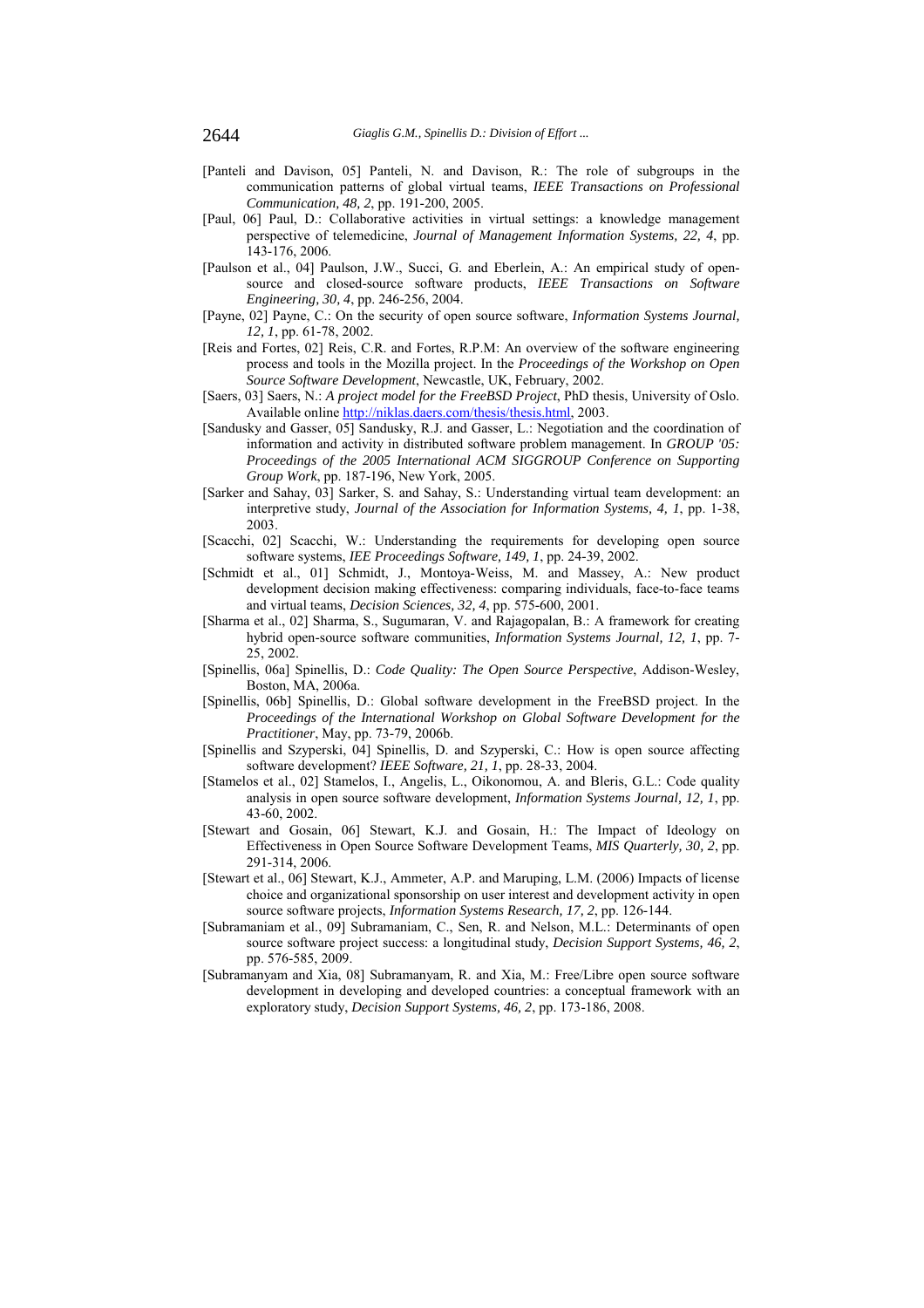- [Panteli and Davison, 05] Panteli, N. and Davison, R.: The role of subgroups in the communication patterns of global virtual teams, *IEEE Transactions on Professional Communication, 48, 2*, pp. 191-200, 2005.
- [Paul, 06] Paul, D.: Collaborative activities in virtual settings: a knowledge management perspective of telemedicine, *Journal of Management Information Systems, 22, 4*, pp. 143-176, 2006.
- [Paulson et al., 04] Paulson, J.W., Succi, G. and Eberlein, A.: An empirical study of opensource and closed-source software products, *IEEE Transactions on Software Engineering, 30, 4*, pp. 246-256, 2004.
- [Payne, 02] Payne, C.: On the security of open source software, *Information Systems Journal, 12, 1*, pp. 61-78, 2002.
- [Reis and Fortes, 02] Reis, C.R. and Fortes, R.P.M: An overview of the software engineering process and tools in the Mozilla project. In the *Proceedings of the Workshop on Open Source Software Development*, Newcastle, UK, February, 2002.
- [Saers, 03] Saers, N.: *A project model for the FreeBSD Project*, PhD thesis, University of Oslo. Available online http://niklas.daers.com/thesis/thesis.html, 2003.
- [Sandusky and Gasser, 05] Sandusky, R.J. and Gasser, L.: Negotiation and the coordination of information and activity in distributed software problem management. In *GROUP '05: Proceedings of the 2005 International ACM SIGGROUP Conference on Supporting Group Work*, pp. 187-196, New York, 2005.
- [Sarker and Sahay, 03] Sarker, S. and Sahay, S.: Understanding virtual team development: an interpretive study, *Journal of the Association for Information Systems, 4, 1*, pp. 1-38, 2003.
- [Scacchi, 02] Scacchi, W.: Understanding the requirements for developing open source software systems, *IEE Proceedings Software, 149, 1*, pp. 24-39, 2002.
- [Schmidt et al., 01] Schmidt, J., Montoya-Weiss, M. and Massey, A.: New product development decision making effectiveness: comparing individuals, face-to-face teams and virtual teams, *Decision Sciences, 32, 4*, pp. 575-600, 2001.
- [Sharma et al., 02] Sharma, S., Sugumaran, V. and Rajagopalan, B.: A framework for creating hybrid open-source software communities, *Information Systems Journal, 12, 1*, pp. 7- 25, 2002.
- [Spinellis, 06a] Spinellis, D.: *Code Quality: The Open Source Perspective*, Addison-Wesley, Boston, MA, 2006a.
- [Spinellis, 06b] Spinellis, D.: Global software development in the FreeBSD project. In the *Proceedings of the International Workshop on Global Software Development for the Practitioner*, May, pp. 73-79, 2006b.
- [Spinellis and Szyperski, 04] Spinellis, D. and Szyperski, C.: How is open source affecting software development? *IEEE Software, 21, 1*, pp. 28-33, 2004.
- [Stamelos et al., 02] Stamelos, I., Angelis, L., Oikonomou, A. and Bleris, G.L.: Code quality analysis in open source software development, *Information Systems Journal, 12, 1*, pp. 43-60, 2002.
- [Stewart and Gosain, 06] Stewart, K.J. and Gosain, H.: The Impact of Ideology on Effectiveness in Open Source Software Development Teams, *MIS Quarterly, 30, 2*, pp. 291-314, 2006.
- [Stewart et al., 06] Stewart, K.J., Ammeter, A.P. and Maruping, L.M. (2006) Impacts of license choice and organizational sponsorship on user interest and development activity in open source software projects, *Information Systems Research, 17, 2*, pp. 126-144.
- [Subramaniam et al., 09] Subramaniam, C., Sen, R. and Nelson, M.L.: Determinants of open source software project success: a longitudinal study, *Decision Support Systems, 46, 2*, pp. 576-585, 2009.
- [Subramanyam and Xia, 08] Subramanyam, R. and Xia, M.: Free/Libre open source software development in developing and developed countries: a conceptual framework with an exploratory study, *Decision Support Systems, 46, 2*, pp. 173-186, 2008.